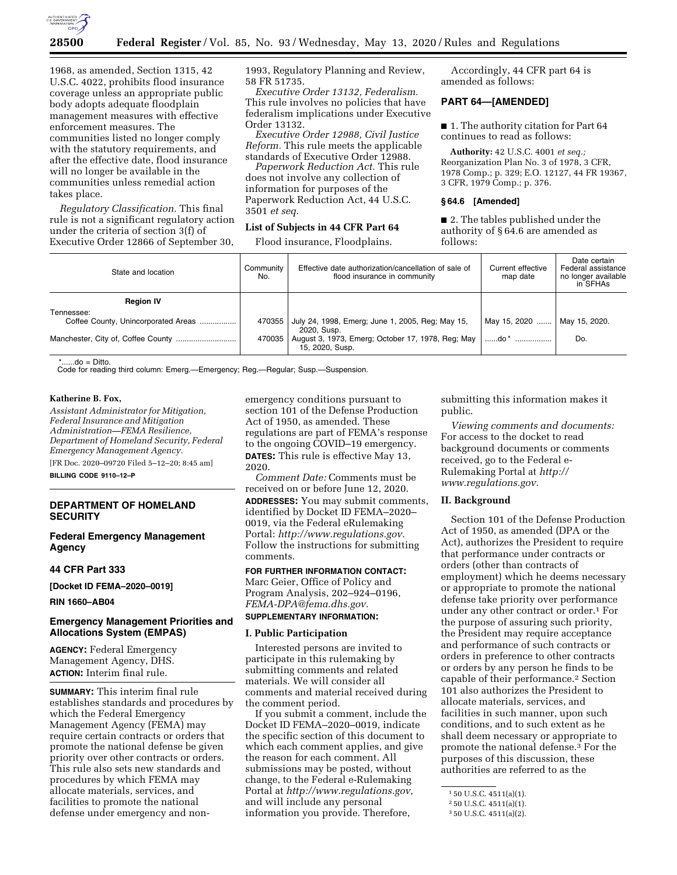

1968, as amended, Section 1315, 42 U.S.C. 4022, prohibits flood insurance coverage unless an appropriate public body adopts adequate floodplain management measures with effective enforcement measures. The communities listed no longer comply with the statutory requirements, and after the effective date, flood insurance will no longer be available in the communities unless remedial action takes place.

*Regulatory Classification.* This final rule is not a significant regulatory action under the criteria of section 3(f) of Executive Order 12866 of September 30, 1993, Regulatory Planning and Review, 58 FR 51735.

*Executive Order 13132, Federalism.*  This rule involves no policies that have federalism implications under Executive Order 13132.

*Executive Order 12988, Civil Justice Reform.* This rule meets the applicable standards of Executive Order 12988.

*Paperwork Reduction Act.* This rule does not involve any collection of information for purposes of the Paperwork Reduction Act, 44 U.S.C. 3501 *et seq.* 

## **List of Subjects in 44 CFR Part 64**

Flood insurance, Floodplains.

Accordingly, 44 CFR part 64 is amended as follows:

# **PART 64—[AMENDED]**

■ 1. The authority citation for Part 64 continues to read as follows:

**Authority:** 42 U.S.C. 4001 *et seq.;*  Reorganization Plan No. 3 of 1978, 3 CFR, 1978 Comp.; p. 329; E.O. 12127, 44 FR 19367, 3 CFR, 1979 Comp.; p. 376.

## **§ 64.6 [Amended]**

■ 2. The tables published under the authority of § 64.6 are amended as follows:

| State and location                  | Community<br>No. | Effective date authorization/cancellation of sale of<br>flood insurance in community | Current effective<br>map date | Date certain<br>Federal assistance<br>no longer available<br>in SFHAs |
|-------------------------------------|------------------|--------------------------------------------------------------------------------------|-------------------------------|-----------------------------------------------------------------------|
| <b>Region IV</b>                    |                  |                                                                                      |                               |                                                                       |
| Tennessee:                          |                  |                                                                                      |                               |                                                                       |
| Coffee County, Unincorporated Areas | 470355           | July 24, 1998, Emerg; June 1, 2005, Reg; May 15,<br>2020. Susp.                      | May 15, 2020                  | May 15, 2020.                                                         |
|                                     | 470035           | August 3, 1973, Emerg; October 17, 1978, Reg; May<br>15, 2020, Susp.                 | do *                          | Do.                                                                   |

 $: do =$  Ditto.

Code for reading third column: Emerg.—Emergency; Reg.—Regular; Susp.—Suspension.

## **Katherine B. Fox,**

*Assistant Administrator for Mitigation, Federal Insurance and Mitigation Administration—FEMA Resilience, Department of Homeland Security, Federal Emergency Management Agency.* 

[FR Doc. 2020–09720 Filed 5–12–20; 8:45 am] **BILLING CODE 9110–12–P** 

# **DEPARTMENT OF HOMELAND SECURITY**

## **Federal Emergency Management Agency**

## **44 CFR Part 333**

**[Docket ID FEMA–2020–0019]** 

**RIN 1660–AB04** 

# **Emergency Management Priorities and Allocations System (EMPAS)**

**AGENCY:** Federal Emergency Management Agency, DHS. **ACTION:** Interim final rule.

**SUMMARY:** This interim final rule establishes standards and procedures by which the Federal Emergency Management Agency (FEMA) may require certain contracts or orders that promote the national defense be given priority over other contracts or orders. This rule also sets new standards and procedures by which FEMA may allocate materials, services, and facilities to promote the national defense under emergency and nonemergency conditions pursuant to section 101 of the Defense Production Act of 1950, as amended. These regulations are part of FEMA's response to the ongoing COVID–19 emergency. **DATES:** This rule is effective May 13, 2020.

*Comment Date:* Comments must be received on or before June 12, 2020. **ADDRESSES:** You may submit comments, identified by Docket ID FEMA–2020– 0019, via the Federal eRulemaking Portal: *[http://www.regulations.gov.](http://www.regulations.gov)*  Follow the instructions for submitting comments.

# **FOR FURTHER INFORMATION CONTACT:**

Marc Geier, Office of Policy and Program Analysis, 202–924–0196, *[FEMA-DPA@fema.dhs.gov.](mailto:FEMA-DPA@fema.dhs.gov)* 

# **SUPPLEMENTARY INFORMATION:**

### **I. Public Participation**

Interested persons are invited to participate in this rulemaking by submitting comments and related materials. We will consider all comments and material received during the comment period.

If you submit a comment, include the Docket ID FEMA–2020–0019, indicate the specific section of this document to which each comment applies, and give the reason for each comment. All submissions may be posted, without change, to the Federal e-Rulemaking Portal at *[http://www.regulations.gov,](http://www.regulations.gov)*  and will include any personal information you provide. Therefore,

submitting this information makes it public.

*Viewing comments and documents:*  For access to the docket to read background documents or comments received, go to the Federal e-Rulemaking Portal at *[http://](http://www.regulations.gov) [www.regulations.gov.](http://www.regulations.gov)* 

### **II. Background**

Section 101 of the Defense Production Act of 1950, as amended (DPA or the Act), authorizes the President to require that performance under contracts or orders (other than contracts of employment) which he deems necessary or appropriate to promote the national defense take priority over performance under any other contract or order.1 For the purpose of assuring such priority, the President may require acceptance and performance of such contracts or orders in preference to other contracts or orders by any person he finds to be capable of their performance.2 Section 101 also authorizes the President to allocate materials, services, and facilities in such manner, upon such conditions, and to such extent as he shall deem necessary or appropriate to promote the national defense.3 For the purposes of this discussion, these authorities are referred to as the

<sup>1</sup> 50 U.S.C. 4511(a)(1).

<sup>2</sup> 50 U.S.C. 4511(a)(1).

<sup>3</sup> 50 U.S.C. 4511(a)(2).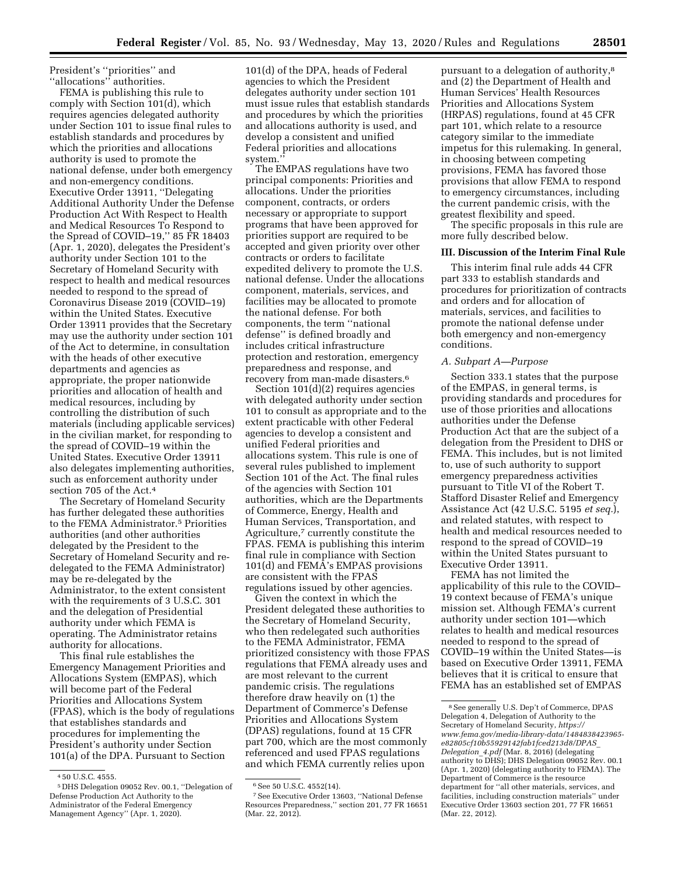President's ''priorities'' and ''allocations'' authorities.

FEMA is publishing this rule to comply with Section 101(d), which requires agencies delegated authority under Section 101 to issue final rules to establish standards and procedures by which the priorities and allocations authority is used to promote the national defense, under both emergency and non-emergency conditions. Executive Order 13911, ''Delegating Additional Authority Under the Defense Production Act With Respect to Health and Medical Resources To Respond to the Spread of COVID–19,'' 85 FR 18403 (Apr. 1, 2020), delegates the President's authority under Section 101 to the Secretary of Homeland Security with respect to health and medical resources needed to respond to the spread of Coronavirus Disease 2019 (COVID–19) within the United States. Executive Order 13911 provides that the Secretary may use the authority under section 101 of the Act to determine, in consultation with the heads of other executive departments and agencies as appropriate, the proper nationwide priorities and allocation of health and medical resources, including by controlling the distribution of such materials (including applicable services) in the civilian market, for responding to the spread of COVID–19 within the United States. Executive Order 13911 also delegates implementing authorities, such as enforcement authority under section 705 of the Act.4

The Secretary of Homeland Security has further delegated these authorities to the FEMA Administrator.5 Priorities authorities (and other authorities delegated by the President to the Secretary of Homeland Security and redelegated to the FEMA Administrator) may be re-delegated by the Administrator, to the extent consistent with the requirements of 3 U.S.C. 301 and the delegation of Presidential authority under which FEMA is operating. The Administrator retains authority for allocations.

This final rule establishes the Emergency Management Priorities and Allocations System (EMPAS), which will become part of the Federal Priorities and Allocations System (FPAS), which is the body of regulations that establishes standards and procedures for implementing the President's authority under Section 101(a) of the DPA. Pursuant to Section

101(d) of the DPA, heads of Federal agencies to which the President delegates authority under section 101 must issue rules that establish standards and procedures by which the priorities and allocations authority is used, and develop a consistent and unified Federal priorities and allocations system.''

The EMPAS regulations have two principal components: Priorities and allocations. Under the priorities component, contracts, or orders necessary or appropriate to support programs that have been approved for priorities support are required to be accepted and given priority over other contracts or orders to facilitate expedited delivery to promote the U.S. national defense. Under the allocations component, materials, services, and facilities may be allocated to promote the national defense. For both components, the term ''national defense'' is defined broadly and includes critical infrastructure protection and restoration, emergency preparedness and response, and recovery from man-made disasters.6

Section 101(d)(2) requires agencies with delegated authority under section 101 to consult as appropriate and to the extent practicable with other Federal agencies to develop a consistent and unified Federal priorities and allocations system. This rule is one of several rules published to implement Section 101 of the Act. The final rules of the agencies with Section 101 authorities, which are the Departments of Commerce, Energy, Health and Human Services, Transportation, and Agriculture,7 currently constitute the FPAS. FEMA is publishing this interim final rule in compliance with Section 101(d) and FEMA's EMPAS provisions are consistent with the FPAS regulations issued by other agencies.

Given the context in which the President delegated these authorities to the Secretary of Homeland Security, who then redelegated such authorities to the FEMA Administrator, FEMA prioritized consistency with those FPAS regulations that FEMA already uses and are most relevant to the current pandemic crisis. The regulations therefore draw heavily on (1) the Department of Commerce's Defense Priorities and Allocations System (DPAS) regulations, found at 15 CFR part 700, which are the most commonly referenced and used FPAS regulations and which FEMA currently relies upon

pursuant to a delegation of authority,8 and (2) the Department of Health and Human Services' Health Resources Priorities and Allocations System (HRPAS) regulations, found at 45 CFR part 101, which relate to a resource category similar to the immediate impetus for this rulemaking. In general, in choosing between competing provisions, FEMA has favored those provisions that allow FEMA to respond to emergency circumstances, including the current pandemic crisis, with the greatest flexibility and speed.

The specific proposals in this rule are more fully described below.

## **III. Discussion of the Interim Final Rule**

This interim final rule adds 44 CFR part 333 to establish standards and procedures for prioritization of contracts and orders and for allocation of materials, services, and facilities to promote the national defense under both emergency and non-emergency conditions.

## *A. Subpart A—Purpose*

Section 333.1 states that the purpose of the EMPAS, in general terms, is providing standards and procedures for use of those priorities and allocations authorities under the Defense Production Act that are the subject of a delegation from the President to DHS or FEMA. This includes, but is not limited to, use of such authority to support emergency preparedness activities pursuant to Title VI of the Robert T. Stafford Disaster Relief and Emergency Assistance Act (42 U.S.C. 5195 *et seq.*), and related statutes, with respect to health and medical resources needed to respond to the spread of COVID–19 within the United States pursuant to Executive Order 13911.

FEMA has not limited the applicability of this rule to the COVID– 19 context because of FEMA's unique mission set. Although FEMA's current authority under section 101—which relates to health and medical resources needed to respond to the spread of COVID–19 within the United States—is based on Executive Order 13911, FEMA believes that it is critical to ensure that FEMA has an established set of EMPAS

<sup>4</sup> 50 U.S.C. 4555.

<sup>5</sup> DHS Delegation 09052 Rev. 00.1, ''Delegation of Defense Production Act Authority to the Administrator of the Federal Emergency Management Agency'' (Apr. 1, 2020).

<sup>&</sup>lt;sup>6</sup> See 50 U.S.C. 4552(14).

<sup>7</sup>See Executive Order 13603, ''National Defense Resources Preparedness,'' section 201, 77 FR 16651 (Mar. 22, 2012).

<sup>8</sup>See generally U.S. Dep't of Commerce, DPAS Delegation 4, Delegation of Authority to the Secretary of Homeland Security, *[https://](https://www.fema.gov/media-library-data/1484838423965-e82805cf10b55929142fab1fced213d8/DPAS_Delegation_4.pdf) [www.fema.gov/media-library-data/1484838423965](https://www.fema.gov/media-library-data/1484838423965-e82805cf10b55929142fab1fced213d8/DPAS_Delegation_4.pdf)  [e82805cf10b55929142fab1fced213d8/DPAS](https://www.fema.gov/media-library-data/1484838423965-e82805cf10b55929142fab1fced213d8/DPAS_Delegation_4.pdf)*\_ *[Delegation](https://www.fema.gov/media-library-data/1484838423965-e82805cf10b55929142fab1fced213d8/DPAS_Delegation_4.pdf)*\_*4.pdf* (Mar. 8, 2016) (delegating authority to DHS); DHS Delegation 09052 Rev. 00.1 (Apr. 1, 2020) (delegating authority to FEMA). The Department of Commerce is the resource department for ''all other materials, services, and facilities, including construction materials'' under Executive Order 13603 section 201, 77 FR 16651 (Mar. 22, 2012).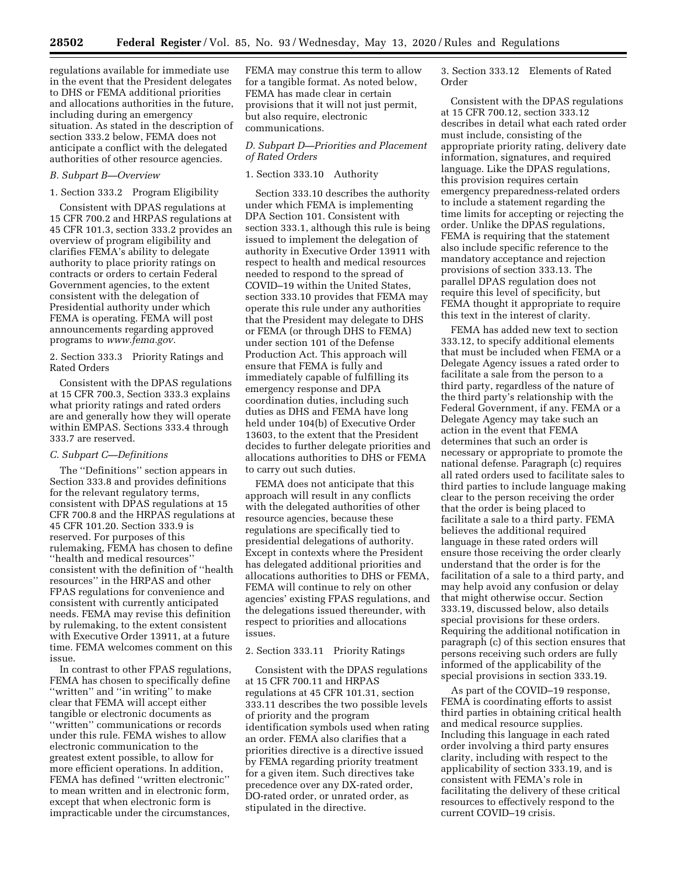regulations available for immediate use in the event that the President delegates to DHS or FEMA additional priorities and allocations authorities in the future, including during an emergency situation. As stated in the description of section 333.2 below, FEMA does not anticipate a conflict with the delegated authorities of other resource agencies.

# *B. Subpart B—Overview*

1. Section 333.2 Program Eligibility

Consistent with DPAS regulations at 15 CFR 700.2 and HRPAS regulations at 45 CFR 101.3, section 333.2 provides an overview of program eligibility and clarifies FEMA's ability to delegate authority to place priority ratings on contracts or orders to certain Federal Government agencies, to the extent consistent with the delegation of Presidential authority under which FEMA is operating. FEMA will post announcements regarding approved programs to *[www.fema.gov.](http://www.fema.gov)* 

2. Section 333.3 Priority Ratings and Rated Orders

Consistent with the DPAS regulations at 15 CFR 700.3, Section 333.3 explains what priority ratings and rated orders are and generally how they will operate within EMPAS. Sections 333.4 through 333.7 are reserved.

## *C. Subpart C—Definitions*

The ''Definitions'' section appears in Section 333.8 and provides definitions for the relevant regulatory terms, consistent with DPAS regulations at 15 CFR 700.8 and the HRPAS regulations at 45 CFR 101.20. Section 333.9 is reserved. For purposes of this rulemaking, FEMA has chosen to define ''health and medical resources'' consistent with the definition of ''health resources'' in the HRPAS and other FPAS regulations for convenience and consistent with currently anticipated needs. FEMA may revise this definition by rulemaking, to the extent consistent with Executive Order 13911, at a future time. FEMA welcomes comment on this issue.

In contrast to other FPAS regulations, FEMA has chosen to specifically define ''written'' and ''in writing'' to make clear that FEMA will accept either tangible or electronic documents as ''written'' communications or records under this rule. FEMA wishes to allow electronic communication to the greatest extent possible, to allow for more efficient operations. In addition, FEMA has defined ''written electronic'' to mean written and in electronic form, except that when electronic form is impracticable under the circumstances,

FEMA may construe this term to allow for a tangible format. As noted below, FEMA has made clear in certain provisions that it will not just permit, but also require, electronic communications.

# *D. Subpart D—Priorities and Placement of Rated Orders*

## 1. Section 333.10 Authority

Section 333.10 describes the authority under which FEMA is implementing DPA Section 101. Consistent with section 333.1, although this rule is being issued to implement the delegation of authority in Executive Order 13911 with respect to health and medical resources needed to respond to the spread of COVID–19 within the United States, section 333.10 provides that FEMA may operate this rule under any authorities that the President may delegate to DHS or FEMA (or through DHS to FEMA) under section 101 of the Defense Production Act. This approach will ensure that FEMA is fully and immediately capable of fulfilling its emergency response and DPA coordination duties, including such duties as DHS and FEMA have long held under 104(b) of Executive Order 13603, to the extent that the President decides to further delegate priorities and allocations authorities to DHS or FEMA to carry out such duties.

FEMA does not anticipate that this approach will result in any conflicts with the delegated authorities of other resource agencies, because these regulations are specifically tied to presidential delegations of authority. Except in contexts where the President has delegated additional priorities and allocations authorities to DHS or FEMA, FEMA will continue to rely on other agencies' existing FPAS regulations, and the delegations issued thereunder, with respect to priorities and allocations issues.

# 2. Section 333.11 Priority Ratings

Consistent with the DPAS regulations at 15 CFR 700.11 and HRPAS regulations at 45 CFR 101.31, section 333.11 describes the two possible levels of priority and the program identification symbols used when rating an order. FEMA also clarifies that a priorities directive is a directive issued by FEMA regarding priority treatment for a given item. Such directives take precedence over any DX-rated order, DO-rated order, or unrated order, as stipulated in the directive.

3. Section 333.12 Elements of Rated Order

Consistent with the DPAS regulations at 15 CFR 700.12, section 333.12 describes in detail what each rated order must include, consisting of the appropriate priority rating, delivery date information, signatures, and required language. Like the DPAS regulations, this provision requires certain emergency preparedness-related orders to include a statement regarding the time limits for accepting or rejecting the order. Unlike the DPAS regulations, FEMA is requiring that the statement also include specific reference to the mandatory acceptance and rejection provisions of section 333.13. The parallel DPAS regulation does not require this level of specificity, but FEMA thought it appropriate to require this text in the interest of clarity.

FEMA has added new text to section 333.12, to specify additional elements that must be included when FEMA or a Delegate Agency issues a rated order to facilitate a sale from the person to a third party, regardless of the nature of the third party's relationship with the Federal Government, if any. FEMA or a Delegate Agency may take such an action in the event that FEMA determines that such an order is necessary or appropriate to promote the national defense. Paragraph (c) requires all rated orders used to facilitate sales to third parties to include language making clear to the person receiving the order that the order is being placed to facilitate a sale to a third party. FEMA believes the additional required language in these rated orders will ensure those receiving the order clearly understand that the order is for the facilitation of a sale to a third party, and may help avoid any confusion or delay that might otherwise occur. Section 333.19, discussed below, also details special provisions for these orders. Requiring the additional notification in paragraph (c) of this section ensures that persons receiving such orders are fully informed of the applicability of the special provisions in section 333.19.

As part of the COVID–19 response, FEMA is coordinating efforts to assist third parties in obtaining critical health and medical resource supplies. Including this language in each rated order involving a third party ensures clarity, including with respect to the applicability of section 333.19, and is consistent with FEMA's role in facilitating the delivery of these critical resources to effectively respond to the current COVID–19 crisis.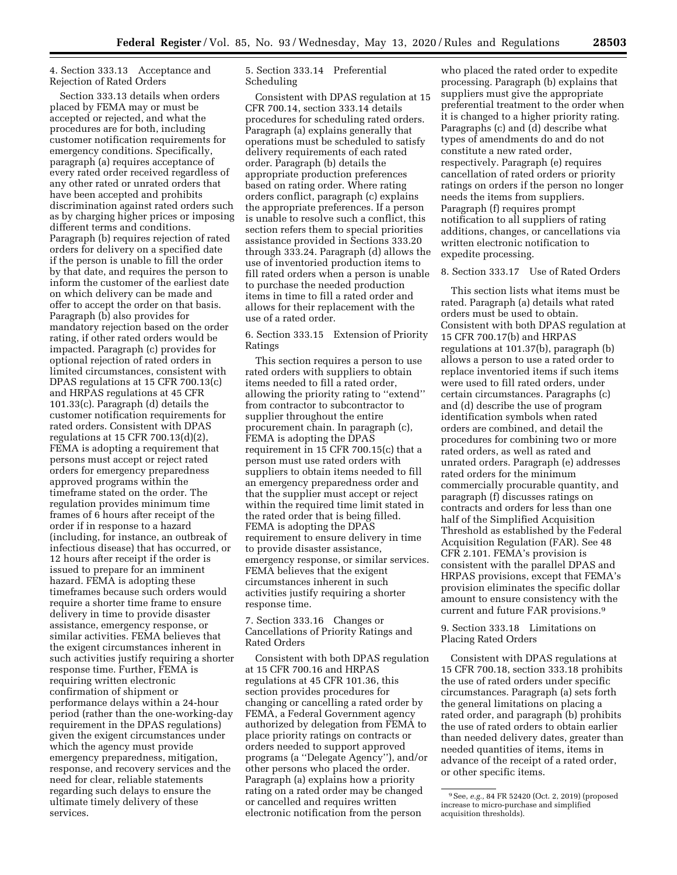# 4. Section 333.13 Acceptance and Rejection of Rated Orders

Section 333.13 details when orders placed by FEMA may or must be accepted or rejected, and what the procedures are for both, including customer notification requirements for emergency conditions. Specifically, paragraph (a) requires acceptance of every rated order received regardless of any other rated or unrated orders that have been accepted and prohibits discrimination against rated orders such as by charging higher prices or imposing different terms and conditions. Paragraph (b) requires rejection of rated orders for delivery on a specified date if the person is unable to fill the order by that date, and requires the person to inform the customer of the earliest date on which delivery can be made and offer to accept the order on that basis. Paragraph (b) also provides for mandatory rejection based on the order rating, if other rated orders would be impacted. Paragraph (c) provides for optional rejection of rated orders in limited circumstances, consistent with DPAS regulations at 15 CFR 700.13(c) and HRPAS regulations at 45 CFR 101.33(c). Paragraph (d) details the customer notification requirements for rated orders. Consistent with DPAS regulations at 15 CFR 700.13(d)(2), FEMA is adopting a requirement that persons must accept or reject rated orders for emergency preparedness approved programs within the timeframe stated on the order. The regulation provides minimum time frames of 6 hours after receipt of the order if in response to a hazard (including, for instance, an outbreak of infectious disease) that has occurred, or 12 hours after receipt if the order is issued to prepare for an imminent hazard. FEMA is adopting these timeframes because such orders would require a shorter time frame to ensure delivery in time to provide disaster assistance, emergency response, or similar activities. FEMA believes that the exigent circumstances inherent in such activities justify requiring a shorter response time. Further, FEMA is requiring written electronic confirmation of shipment or performance delays within a 24-hour period (rather than the one-working-day requirement in the DPAS regulations) given the exigent circumstances under which the agency must provide emergency preparedness, mitigation, response, and recovery services and the need for clear, reliable statements regarding such delays to ensure the ultimate timely delivery of these services.

# 5. Section 333.14 Preferential Scheduling

Consistent with DPAS regulation at 15 CFR 700.14, section 333.14 details procedures for scheduling rated orders. Paragraph (a) explains generally that operations must be scheduled to satisfy delivery requirements of each rated order. Paragraph (b) details the appropriate production preferences based on rating order. Where rating orders conflict, paragraph (c) explains the appropriate preferences. If a person is unable to resolve such a conflict, this section refers them to special priorities assistance provided in Sections 333.20 through 333.24. Paragraph (d) allows the use of inventoried production items to fill rated orders when a person is unable to purchase the needed production items in time to fill a rated order and allows for their replacement with the use of a rated order.

6. Section 333.15 Extension of Priority Ratings

This section requires a person to use rated orders with suppliers to obtain items needed to fill a rated order, allowing the priority rating to ''extend'' from contractor to subcontractor to supplier throughout the entire procurement chain. In paragraph (c), FEMA is adopting the DPAS requirement in 15 CFR 700.15(c) that a person must use rated orders with suppliers to obtain items needed to fill an emergency preparedness order and that the supplier must accept or reject within the required time limit stated in the rated order that is being filled. FEMA is adopting the DPAS requirement to ensure delivery in time to provide disaster assistance, emergency response, or similar services. FEMA believes that the exigent circumstances inherent in such activities justify requiring a shorter response time.

7. Section 333.16 Changes or Cancellations of Priority Ratings and Rated Orders

Consistent with both DPAS regulation at 15 CFR 700.16 and HRPAS regulations at 45 CFR 101.36, this section provides procedures for changing or cancelling a rated order by FEMA, a Federal Government agency authorized by delegation from FEMA to place priority ratings on contracts or orders needed to support approved programs (a ''Delegate Agency''), and/or other persons who placed the order. Paragraph (a) explains how a priority rating on a rated order may be changed or cancelled and requires written electronic notification from the person

who placed the rated order to expedite processing. Paragraph (b) explains that suppliers must give the appropriate preferential treatment to the order when it is changed to a higher priority rating. Paragraphs (c) and (d) describe what types of amendments do and do not constitute a new rated order, respectively. Paragraph (e) requires cancellation of rated orders or priority ratings on orders if the person no longer needs the items from suppliers. Paragraph (f) requires prompt notification to all suppliers of rating additions, changes, or cancellations via written electronic notification to expedite processing.

# 8. Section 333.17 Use of Rated Orders

This section lists what items must be rated. Paragraph (a) details what rated orders must be used to obtain. Consistent with both DPAS regulation at 15 CFR 700.17(b) and HRPAS regulations at 101.37(b), paragraph (b) allows a person to use a rated order to replace inventoried items if such items were used to fill rated orders, under certain circumstances. Paragraphs (c) and (d) describe the use of program identification symbols when rated orders are combined, and detail the procedures for combining two or more rated orders, as well as rated and unrated orders. Paragraph (e) addresses rated orders for the minimum commercially procurable quantity, and paragraph (f) discusses ratings on contracts and orders for less than one half of the Simplified Acquisition Threshold as established by the Federal Acquisition Regulation (FAR). See 48 CFR 2.101. FEMA's provision is consistent with the parallel DPAS and HRPAS provisions, except that FEMA's provision eliminates the specific dollar amount to ensure consistency with the current and future FAR provisions.9

9. Section 333.18 Limitations on Placing Rated Orders

Consistent with DPAS regulations at 15 CFR 700.18, section 333.18 prohibits the use of rated orders under specific circumstances. Paragraph (a) sets forth the general limitations on placing a rated order, and paragraph (b) prohibits the use of rated orders to obtain earlier than needed delivery dates, greater than needed quantities of items, items in advance of the receipt of a rated order, or other specific items.

<sup>9</sup>See, *e.g.,* 84 FR 52420 (Oct. 2, 2019) (proposed increase to micro-purchase and simplified acquisition thresholds).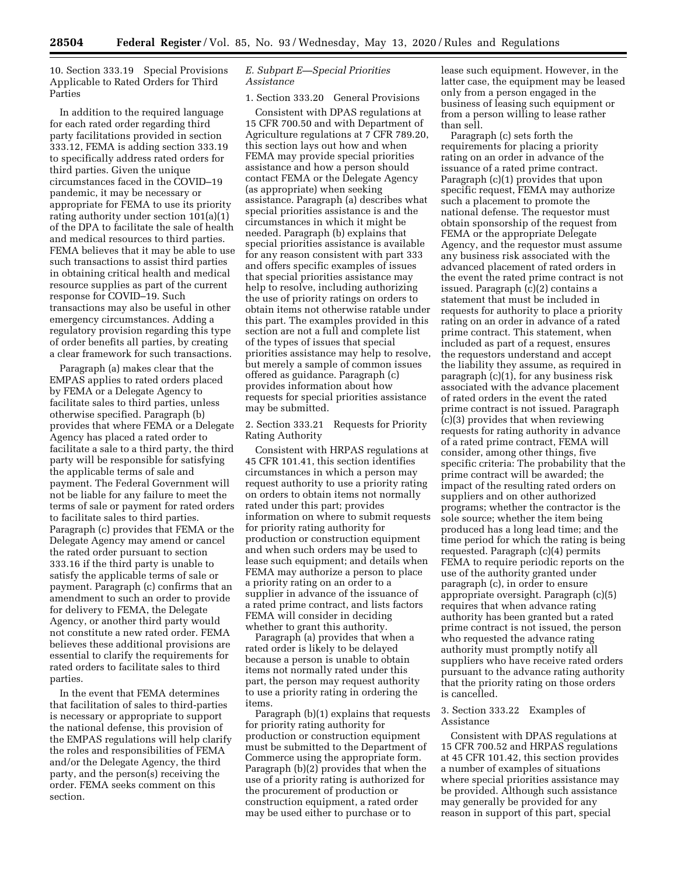10. Section 333.19 Special Provisions Applicable to Rated Orders for Third Parties

In addition to the required language for each rated order regarding third party facilitations provided in section 333.12, FEMA is adding section 333.19 to specifically address rated orders for third parties. Given the unique circumstances faced in the COVID–19 pandemic, it may be necessary or appropriate for FEMA to use its priority rating authority under section 101(a)(1) of the DPA to facilitate the sale of health and medical resources to third parties. FEMA believes that it may be able to use such transactions to assist third parties in obtaining critical health and medical resource supplies as part of the current response for COVID–19. Such transactions may also be useful in other emergency circumstances. Adding a regulatory provision regarding this type of order benefits all parties, by creating a clear framework for such transactions.

Paragraph (a) makes clear that the EMPAS applies to rated orders placed by FEMA or a Delegate Agency to facilitate sales to third parties, unless otherwise specified. Paragraph (b) provides that where FEMA or a Delegate Agency has placed a rated order to facilitate a sale to a third party, the third party will be responsible for satisfying the applicable terms of sale and payment. The Federal Government will not be liable for any failure to meet the terms of sale or payment for rated orders to facilitate sales to third parties. Paragraph (c) provides that FEMA or the Delegate Agency may amend or cancel the rated order pursuant to section 333.16 if the third party is unable to satisfy the applicable terms of sale or payment. Paragraph (c) confirms that an amendment to such an order to provide for delivery to FEMA, the Delegate Agency, or another third party would not constitute a new rated order. FEMA believes these additional provisions are essential to clarify the requirements for rated orders to facilitate sales to third parties.

In the event that FEMA determines that facilitation of sales to third-parties is necessary or appropriate to support the national defense, this provision of the EMPAS regulations will help clarify the roles and responsibilities of FEMA and/or the Delegate Agency, the third party, and the person(s) receiving the order. FEMA seeks comment on this section.

# *E. Subpart E—Special Priorities Assistance*

# 1. Section 333.20 General Provisions

Consistent with DPAS regulations at 15 CFR 700.50 and with Department of Agriculture regulations at 7 CFR 789.20, this section lays out how and when FEMA may provide special priorities assistance and how a person should contact FEMA or the Delegate Agency (as appropriate) when seeking assistance. Paragraph (a) describes what special priorities assistance is and the circumstances in which it might be needed. Paragraph (b) explains that special priorities assistance is available for any reason consistent with part 333 and offers specific examples of issues that special priorities assistance may help to resolve, including authorizing the use of priority ratings on orders to obtain items not otherwise ratable under this part. The examples provided in this section are not a full and complete list of the types of issues that special priorities assistance may help to resolve, but merely a sample of common issues offered as guidance. Paragraph (c) provides information about how requests for special priorities assistance may be submitted.

2. Section 333.21 Requests for Priority Rating Authority

Consistent with HRPAS regulations at 45 CFR 101.41, this section identifies circumstances in which a person may request authority to use a priority rating on orders to obtain items not normally rated under this part; provides information on where to submit requests for priority rating authority for production or construction equipment and when such orders may be used to lease such equipment; and details when FEMA may authorize a person to place a priority rating on an order to a supplier in advance of the issuance of a rated prime contract, and lists factors FEMA will consider in deciding whether to grant this authority.

Paragraph (a) provides that when a rated order is likely to be delayed because a person is unable to obtain items not normally rated under this part, the person may request authority to use a priority rating in ordering the items.

Paragraph (b)(1) explains that requests for priority rating authority for production or construction equipment must be submitted to the Department of Commerce using the appropriate form. Paragraph (b)(2) provides that when the use of a priority rating is authorized for the procurement of production or construction equipment, a rated order may be used either to purchase or to

lease such equipment. However, in the latter case, the equipment may be leased only from a person engaged in the business of leasing such equipment or from a person willing to lease rather than sell.

Paragraph (c) sets forth the requirements for placing a priority rating on an order in advance of the issuance of a rated prime contract. Paragraph (c)(1) provides that upon specific request, FEMA may authorize such a placement to promote the national defense. The requestor must obtain sponsorship of the request from FEMA or the appropriate Delegate Agency, and the requestor must assume any business risk associated with the advanced placement of rated orders in the event the rated prime contract is not issued. Paragraph (c)(2) contains a statement that must be included in requests for authority to place a priority rating on an order in advance of a rated prime contract. This statement, when included as part of a request, ensures the requestors understand and accept the liability they assume, as required in paragraph (c)(1), for any business risk associated with the advance placement of rated orders in the event the rated prime contract is not issued. Paragraph (c)(3) provides that when reviewing requests for rating authority in advance of a rated prime contract, FEMA will consider, among other things, five specific criteria: The probability that the prime contract will be awarded; the impact of the resulting rated orders on suppliers and on other authorized programs; whether the contractor is the sole source; whether the item being produced has a long lead time; and the time period for which the rating is being requested. Paragraph (c)(4) permits FEMA to require periodic reports on the use of the authority granted under paragraph (c), in order to ensure appropriate oversight. Paragraph (c)(5) requires that when advance rating authority has been granted but a rated prime contract is not issued, the person who requested the advance rating authority must promptly notify all suppliers who have receive rated orders pursuant to the advance rating authority that the priority rating on those orders is cancelled.

## 3. Section 333.22 Examples of Assistance

Consistent with DPAS regulations at 15 CFR 700.52 and HRPAS regulations at 45 CFR 101.42, this section provides a number of examples of situations where special priorities assistance may be provided. Although such assistance may generally be provided for any reason in support of this part, special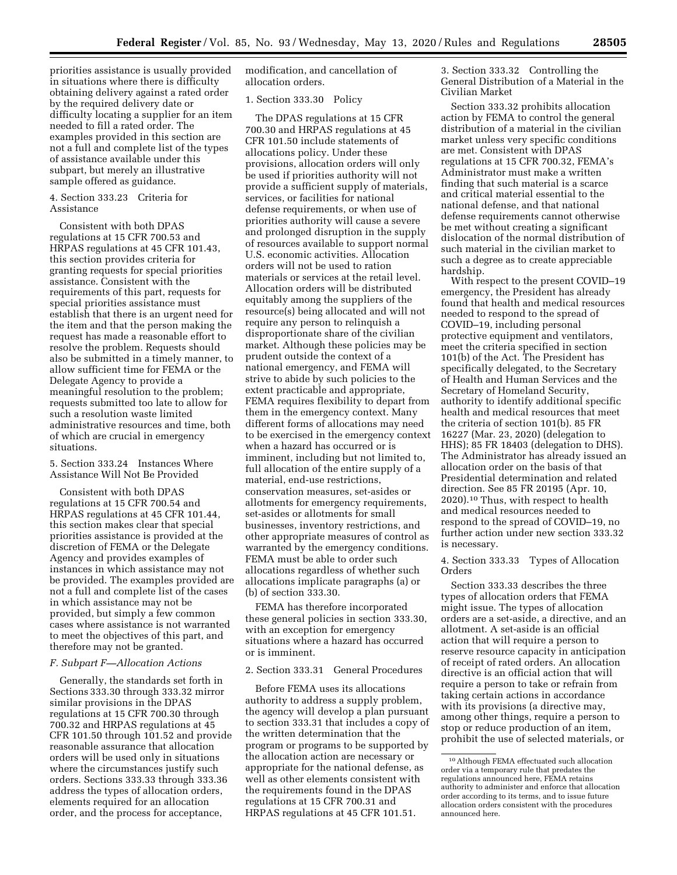priorities assistance is usually provided in situations where there is difficulty obtaining delivery against a rated order by the required delivery date or difficulty locating a supplier for an item needed to fill a rated order. The examples provided in this section are not a full and complete list of the types of assistance available under this subpart, but merely an illustrative sample offered as guidance.

## 4. Section 333.23 Criteria for Assistance

Consistent with both DPAS regulations at 15 CFR 700.53 and HRPAS regulations at 45 CFR 101.43, this section provides criteria for granting requests for special priorities assistance. Consistent with the requirements of this part, requests for special priorities assistance must establish that there is an urgent need for the item and that the person making the request has made a reasonable effort to resolve the problem. Requests should also be submitted in a timely manner, to allow sufficient time for FEMA or the Delegate Agency to provide a meaningful resolution to the problem; requests submitted too late to allow for such a resolution waste limited administrative resources and time, both of which are crucial in emergency situations.

5. Section 333.24 Instances Where Assistance Will Not Be Provided

Consistent with both DPAS regulations at 15 CFR 700.54 and HRPAS regulations at 45 CFR 101.44, this section makes clear that special priorities assistance is provided at the discretion of FEMA or the Delegate Agency and provides examples of instances in which assistance may not be provided. The examples provided are not a full and complete list of the cases in which assistance may not be provided, but simply a few common cases where assistance is not warranted to meet the objectives of this part, and therefore may not be granted.

# *F. Subpart F—Allocation Actions*

Generally, the standards set forth in Sections 333.30 through 333.32 mirror similar provisions in the DPAS regulations at 15 CFR 700.30 through 700.32 and HRPAS regulations at 45 CFR 101.50 through 101.52 and provide reasonable assurance that allocation orders will be used only in situations where the circumstances justify such orders. Sections 333.33 through 333.36 address the types of allocation orders, elements required for an allocation order, and the process for acceptance,

modification, and cancellation of allocation orders.

## 1. Section 333.30 Policy

The DPAS regulations at 15 CFR 700.30 and HRPAS regulations at 45 CFR 101.50 include statements of allocations policy. Under these provisions, allocation orders will only be used if priorities authority will not provide a sufficient supply of materials, services, or facilities for national defense requirements, or when use of priorities authority will cause a severe and prolonged disruption in the supply of resources available to support normal U.S. economic activities. Allocation orders will not be used to ration materials or services at the retail level. Allocation orders will be distributed equitably among the suppliers of the resource(s) being allocated and will not require any person to relinquish a disproportionate share of the civilian market. Although these policies may be prudent outside the context of a national emergency, and FEMA will strive to abide by such policies to the extent practicable and appropriate, FEMA requires flexibility to depart from them in the emergency context. Many different forms of allocations may need to be exercised in the emergency context when a hazard has occurred or is imminent, including but not limited to, full allocation of the entire supply of a material, end-use restrictions, conservation measures, set-asides or allotments for emergency requirements, set-asides or allotments for small businesses, inventory restrictions, and other appropriate measures of control as warranted by the emergency conditions. FEMA must be able to order such allocations regardless of whether such allocations implicate paragraphs (a) or (b) of section 333.30.

FEMA has therefore incorporated these general policies in section 333.30, with an exception for emergency situations where a hazard has occurred or is imminent.

## 2. Section 333.31 General Procedures

Before FEMA uses its allocations authority to address a supply problem, the agency will develop a plan pursuant to section 333.31 that includes a copy of the written determination that the program or programs to be supported by the allocation action are necessary or appropriate for the national defense, as well as other elements consistent with the requirements found in the DPAS regulations at 15 CFR 700.31 and HRPAS regulations at 45 CFR 101.51.

3. Section 333.32 Controlling the General Distribution of a Material in the Civilian Market

Section 333.32 prohibits allocation action by FEMA to control the general distribution of a material in the civilian market unless very specific conditions are met. Consistent with DPAS regulations at 15 CFR 700.32, FEMA's Administrator must make a written finding that such material is a scarce and critical material essential to the national defense, and that national defense requirements cannot otherwise be met without creating a significant dislocation of the normal distribution of such material in the civilian market to such a degree as to create appreciable hardship.

With respect to the present COVID–19 emergency, the President has already found that health and medical resources needed to respond to the spread of COVID–19, including personal protective equipment and ventilators, meet the criteria specified in section 101(b) of the Act. The President has specifically delegated, to the Secretary of Health and Human Services and the Secretary of Homeland Security, authority to identify additional specific health and medical resources that meet the criteria of section 101(b). 85 FR 16227 (Mar. 23, 2020) (delegation to HHS); 85 FR 18403 (delegation to DHS). The Administrator has already issued an allocation order on the basis of that Presidential determination and related direction. See 85 FR 20195 (Apr. 10, 2020).10 Thus, with respect to health and medical resources needed to respond to the spread of COVID–19, no further action under new section 333.32 is necessary.

4. Section 333.33 Types of Allocation Orders

Section 333.33 describes the three types of allocation orders that FEMA might issue. The types of allocation orders are a set-aside, a directive, and an allotment. A set-aside is an official action that will require a person to reserve resource capacity in anticipation of receipt of rated orders. An allocation directive is an official action that will require a person to take or refrain from taking certain actions in accordance with its provisions (a directive may, among other things, require a person to stop or reduce production of an item, prohibit the use of selected materials, or

<sup>10</sup>Although FEMA effectuated such allocation order via a temporary rule that predates the regulations announced here, FEMA retains authority to administer and enforce that allocation order according to its terms, and to issue future allocation orders consistent with the procedures announced here.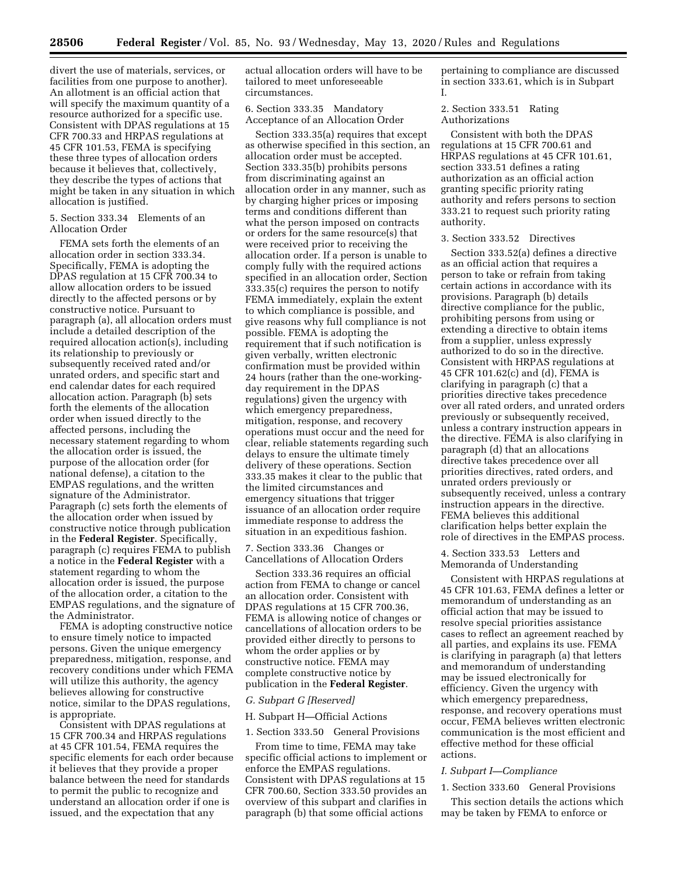divert the use of materials, services, or facilities from one purpose to another). An allotment is an official action that will specify the maximum quantity of a resource authorized for a specific use. Consistent with DPAS regulations at 15 CFR 700.33 and HRPAS regulations at 45 CFR 101.53, FEMA is specifying these three types of allocation orders because it believes that, collectively, they describe the types of actions that might be taken in any situation in which allocation is justified.

# 5. Section 333.34 Elements of an Allocation Order

FEMA sets forth the elements of an allocation order in section 333.34. Specifically, FEMA is adopting the DPAS regulation at 15 CFR 700.34 to allow allocation orders to be issued directly to the affected persons or by constructive notice. Pursuant to paragraph (a), all allocation orders must include a detailed description of the required allocation action(s), including its relationship to previously or subsequently received rated and/or unrated orders, and specific start and end calendar dates for each required allocation action. Paragraph (b) sets forth the elements of the allocation order when issued directly to the affected persons, including the necessary statement regarding to whom the allocation order is issued, the purpose of the allocation order (for national defense), a citation to the EMPAS regulations, and the written signature of the Administrator. Paragraph (c) sets forth the elements of the allocation order when issued by constructive notice through publication in the **Federal Register**. Specifically, paragraph (c) requires FEMA to publish a notice in the **Federal Register** with a statement regarding to whom the allocation order is issued, the purpose of the allocation order, a citation to the EMPAS regulations, and the signature of the Administrator.

FEMA is adopting constructive notice to ensure timely notice to impacted persons. Given the unique emergency preparedness, mitigation, response, and recovery conditions under which FEMA will utilize this authority, the agency believes allowing for constructive notice, similar to the DPAS regulations, is appropriate.

Consistent with DPAS regulations at 15 CFR 700.34 and HRPAS regulations at 45 CFR 101.54, FEMA requires the specific elements for each order because it believes that they provide a proper balance between the need for standards to permit the public to recognize and understand an allocation order if one is issued, and the expectation that any

actual allocation orders will have to be tailored to meet unforeseeable circumstances.

# 6. Section 333.35 Mandatory Acceptance of an Allocation Order

Section 333.35(a) requires that except as otherwise specified in this section, an allocation order must be accepted. Section 333.35(b) prohibits persons from discriminating against an allocation order in any manner, such as by charging higher prices or imposing terms and conditions different than what the person imposed on contracts or orders for the same resource(s) that were received prior to receiving the allocation order. If a person is unable to comply fully with the required actions specified in an allocation order, Section 333.35(c) requires the person to notify FEMA immediately, explain the extent to which compliance is possible, and give reasons why full compliance is not possible. FEMA is adopting the requirement that if such notification is given verbally, written electronic confirmation must be provided within 24 hours (rather than the one-workingday requirement in the DPAS regulations) given the urgency with which emergency preparedness, mitigation, response, and recovery operations must occur and the need for clear, reliable statements regarding such delays to ensure the ultimate timely delivery of these operations. Section 333.35 makes it clear to the public that the limited circumstances and emergency situations that trigger issuance of an allocation order require immediate response to address the situation in an expeditious fashion.

7. Section 333.36 Changes or Cancellations of Allocation Orders

Section 333.36 requires an official action from FEMA to change or cancel an allocation order. Consistent with DPAS regulations at 15 CFR 700.36, FEMA is allowing notice of changes or cancellations of allocation orders to be provided either directly to persons to whom the order applies or by constructive notice. FEMA may complete constructive notice by publication in the **Federal Register**.

### *G. Subpart G [Reserved]*

## H. Subpart H—Official Actions

### 1. Section 333.50 General Provisions

From time to time, FEMA may take specific official actions to implement or enforce the EMPAS regulations. Consistent with DPAS regulations at 15 CFR 700.60, Section 333.50 provides an overview of this subpart and clarifies in paragraph (b) that some official actions

pertaining to compliance are discussed in section 333.61, which is in Subpart I.

2. Section 333.51 Rating Authorizations

Consistent with both the DPAS regulations at 15 CFR 700.61 and HRPAS regulations at 45 CFR 101.61, section 333.51 defines a rating authorization as an official action granting specific priority rating authority and refers persons to section 333.21 to request such priority rating authority.

# 3. Section 333.52 Directives

Section 333.52(a) defines a directive as an official action that requires a person to take or refrain from taking certain actions in accordance with its provisions. Paragraph (b) details directive compliance for the public, prohibiting persons from using or extending a directive to obtain items from a supplier, unless expressly authorized to do so in the directive. Consistent with HRPAS regulations at 45 CFR 101.62(c) and (d), FEMA is clarifying in paragraph (c) that a priorities directive takes precedence over all rated orders, and unrated orders previously or subsequently received, unless a contrary instruction appears in the directive. FEMA is also clarifying in paragraph (d) that an allocations directive takes precedence over all priorities directives, rated orders, and unrated orders previously or subsequently received, unless a contrary instruction appears in the directive. FEMA believes this additional clarification helps better explain the role of directives in the EMPAS process.

4. Section 333.53 Letters and Memoranda of Understanding

Consistent with HRPAS regulations at 45 CFR 101.63, FEMA defines a letter or memorandum of understanding as an official action that may be issued to resolve special priorities assistance cases to reflect an agreement reached by all parties, and explains its use. FEMA is clarifying in paragraph (a) that letters and memorandum of understanding may be issued electronically for efficiency. Given the urgency with which emergency preparedness, response, and recovery operations must occur, FEMA believes written electronic communication is the most efficient and effective method for these official actions.

### *I. Subpart I—Compliance*

### 1. Section 333.60 General Provisions

This section details the actions which may be taken by FEMA to enforce or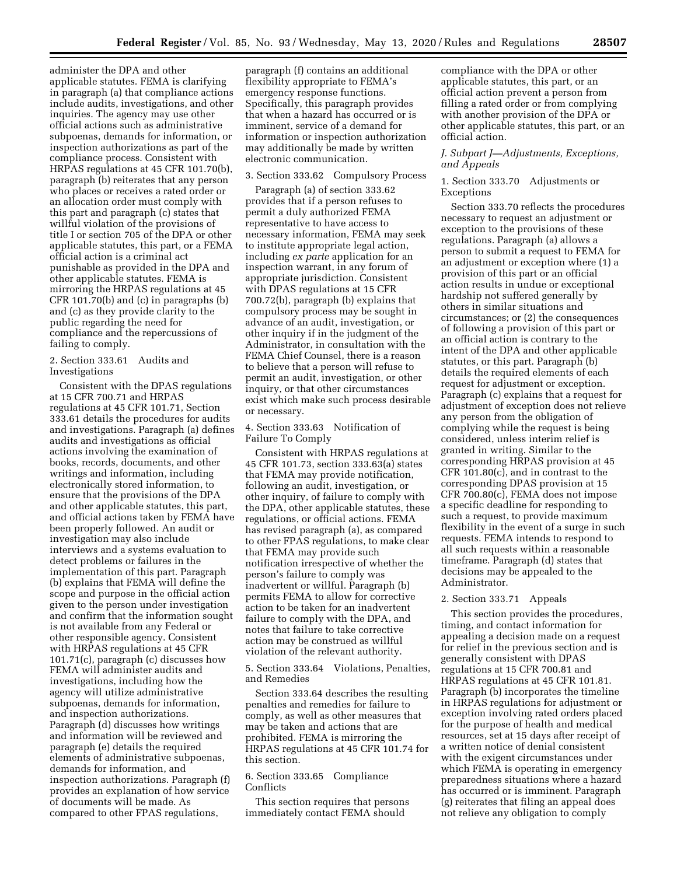administer the DPA and other applicable statutes. FEMA is clarifying in paragraph (a) that compliance actions include audits, investigations, and other inquiries. The agency may use other official actions such as administrative subpoenas, demands for information, or inspection authorizations as part of the compliance process. Consistent with HRPAS regulations at 45 CFR 101.70(b), paragraph (b) reiterates that any person who places or receives a rated order or an allocation order must comply with this part and paragraph (c) states that willful violation of the provisions of title I or section 705 of the DPA or other applicable statutes, this part, or a FEMA official action is a criminal act punishable as provided in the DPA and other applicable statutes. FEMA is mirroring the HRPAS regulations at 45 CFR 101.70(b) and (c) in paragraphs (b) and (c) as they provide clarity to the public regarding the need for compliance and the repercussions of failing to comply.

## 2. Section 333.61 Audits and Investigations

Consistent with the DPAS regulations at 15 CFR 700.71 and HRPAS regulations at 45 CFR 101.71, Section 333.61 details the procedures for audits and investigations. Paragraph (a) defines audits and investigations as official actions involving the examination of books, records, documents, and other writings and information, including electronically stored information, to ensure that the provisions of the DPA and other applicable statutes, this part, and official actions taken by FEMA have been properly followed. An audit or investigation may also include interviews and a systems evaluation to detect problems or failures in the implementation of this part. Paragraph (b) explains that FEMA will define the scope and purpose in the official action given to the person under investigation and confirm that the information sought is not available from any Federal or other responsible agency. Consistent with HRPAS regulations at 45 CFR 101.71(c), paragraph (c) discusses how FEMA will administer audits and investigations, including how the agency will utilize administrative subpoenas, demands for information, and inspection authorizations. Paragraph (d) discusses how writings and information will be reviewed and paragraph (e) details the required elements of administrative subpoenas, demands for information, and inspection authorizations. Paragraph (f) provides an explanation of how service of documents will be made. As compared to other FPAS regulations,

paragraph (f) contains an additional flexibility appropriate to FEMA's emergency response functions. Specifically, this paragraph provides that when a hazard has occurred or is imminent, service of a demand for information or inspection authorization may additionally be made by written electronic communication.

### 3. Section 333.62 Compulsory Process

Paragraph (a) of section 333.62 provides that if a person refuses to permit a duly authorized FEMA representative to have access to necessary information, FEMA may seek to institute appropriate legal action, including *ex parte* application for an inspection warrant, in any forum of appropriate jurisdiction. Consistent with DPAS regulations at 15 CFR 700.72(b), paragraph (b) explains that compulsory process may be sought in advance of an audit, investigation, or other inquiry if in the judgment of the Administrator, in consultation with the FEMA Chief Counsel, there is a reason to believe that a person will refuse to permit an audit, investigation, or other inquiry, or that other circumstances exist which make such process desirable or necessary.

# 4. Section 333.63 Notification of Failure To Comply

Consistent with HRPAS regulations at 45 CFR 101.73, section 333.63(a) states that FEMA may provide notification, following an audit, investigation, or other inquiry, of failure to comply with the DPA, other applicable statutes, these regulations, or official actions. FEMA has revised paragraph (a), as compared to other FPAS regulations, to make clear that FEMA may provide such notification irrespective of whether the person's failure to comply was inadvertent or willful. Paragraph (b) permits FEMA to allow for corrective action to be taken for an inadvertent failure to comply with the DPA, and notes that failure to take corrective action may be construed as willful violation of the relevant authority.

# 5. Section 333.64 Violations, Penalties, and Remedies

Section 333.64 describes the resulting penalties and remedies for failure to comply, as well as other measures that may be taken and actions that are prohibited. FEMA is mirroring the HRPAS regulations at 45 CFR 101.74 for this section.

## 6. Section 333.65 Compliance **Conflicts**

This section requires that persons immediately contact FEMA should

compliance with the DPA or other applicable statutes, this part, or an official action prevent a person from filling a rated order or from complying with another provision of the DPA or other applicable statutes, this part, or an official action.

## *J. Subpart J—Adjustments, Exceptions, and Appeals*

## 1. Section 333.70 Adjustments or Exceptions

Section 333.70 reflects the procedures necessary to request an adjustment or exception to the provisions of these regulations. Paragraph (a) allows a person to submit a request to FEMA for an adjustment or exception where (1) a provision of this part or an official action results in undue or exceptional hardship not suffered generally by others in similar situations and circumstances; or (2) the consequences of following a provision of this part or an official action is contrary to the intent of the DPA and other applicable statutes, or this part. Paragraph (b) details the required elements of each request for adjustment or exception. Paragraph (c) explains that a request for adjustment of exception does not relieve any person from the obligation of complying while the request is being considered, unless interim relief is granted in writing. Similar to the corresponding HRPAS provision at 45 CFR 101.80(c), and in contrast to the corresponding DPAS provision at 15 CFR 700.80(c), FEMA does not impose a specific deadline for responding to such a request, to provide maximum flexibility in the event of a surge in such requests. FEMA intends to respond to all such requests within a reasonable timeframe. Paragraph (d) states that decisions may be appealed to the Administrator.

# 2. Section 333.71 Appeals

This section provides the procedures, timing, and contact information for appealing a decision made on a request for relief in the previous section and is generally consistent with DPAS regulations at 15 CFR 700.81 and HRPAS regulations at 45 CFR 101.81. Paragraph (b) incorporates the timeline in HRPAS regulations for adjustment or exception involving rated orders placed for the purpose of health and medical resources, set at 15 days after receipt of a written notice of denial consistent with the exigent circumstances under which FEMA is operating in emergency preparedness situations where a hazard has occurred or is imminent. Paragraph (g) reiterates that filing an appeal does not relieve any obligation to comply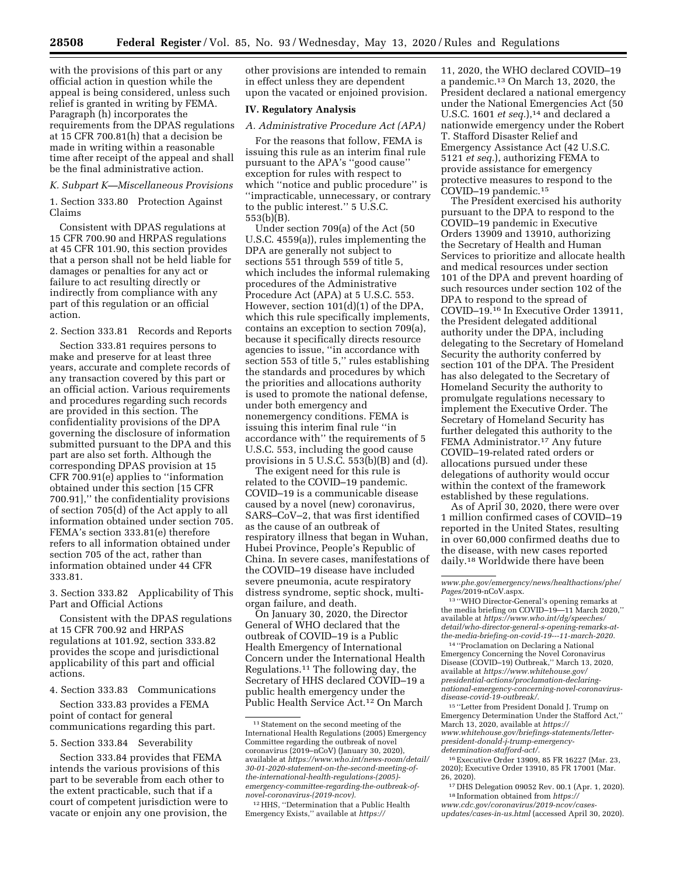with the provisions of this part or any official action in question while the appeal is being considered, unless such relief is granted in writing by FEMA. Paragraph (h) incorporates the requirements from the DPAS regulations at 15 CFR 700.81(h) that a decision be made in writing within a reasonable time after receipt of the appeal and shall be the final administrative action.

### *K. Subpart K—Miscellaneous Provisions*

1. Section 333.80 Protection Against Claims

Consistent with DPAS regulations at 15 CFR 700.90 and HRPAS regulations at 45 CFR 101.90, this section provides that a person shall not be held liable for damages or penalties for any act or failure to act resulting directly or indirectly from compliance with any part of this regulation or an official action.

2. Section 333.81 Records and Reports

Section 333.81 requires persons to make and preserve for at least three years, accurate and complete records of any transaction covered by this part or an official action. Various requirements and procedures regarding such records are provided in this section. The confidentiality provisions of the DPA governing the disclosure of information submitted pursuant to the DPA and this part are also set forth. Although the corresponding DPAS provision at 15 CFR 700.91(e) applies to ''information obtained under this section [15 CFR 700.91],'' the confidentiality provisions of section 705(d) of the Act apply to all information obtained under section 705. FEMA's section 333.81(e) therefore refers to all information obtained under section 705 of the act, rather than information obtained under 44 CFR 333.81.

3. Section 333.82 Applicability of This Part and Official Actions

Consistent with the DPAS regulations at 15 CFR 700.92 and HRPAS regulations at 101.92, section 333.82 provides the scope and jurisdictional applicability of this part and official actions.

# 4. Section 333.83 Communications

Section 333.83 provides a FEMA point of contact for general communications regarding this part.

5. Section 333.84 Severability

Section 333.84 provides that FEMA intends the various provisions of this part to be severable from each other to the extent practicable, such that if a court of competent jurisdiction were to vacate or enjoin any one provision, the

other provisions are intended to remain in effect unless they are dependent upon the vacated or enjoined provision.

# **IV. Regulatory Analysis**

# *A. Administrative Procedure Act (APA)*

For the reasons that follow, FEMA is issuing this rule as an interim final rule pursuant to the APA's ''good cause'' exception for rules with respect to which "notice and public procedure" is ''impracticable, unnecessary, or contrary to the public interest.'' 5 U.S.C. 553(b)(B).

Under section 709(a) of the Act (50 U.S.C. 4559(a)), rules implementing the DPA are generally not subject to sections 551 through 559 of title 5, which includes the informal rulemaking procedures of the Administrative Procedure Act (APA) at 5 U.S.C. 553. However, section 101(d)(1) of the DPA, which this rule specifically implements, contains an exception to section 709(a), because it specifically directs resource agencies to issue, ''in accordance with section 553 of title 5,'' rules establishing the standards and procedures by which the priorities and allocations authority is used to promote the national defense, under both emergency and nonemergency conditions. FEMA is issuing this interim final rule ''in accordance with'' the requirements of 5 U.S.C. 553, including the good cause provisions in 5 U.S.C. 553(b)(B) and (d).

The exigent need for this rule is related to the COVID–19 pandemic. COVID–19 is a communicable disease caused by a novel (new) coronavirus, SARS–CoV–2, that was first identified as the cause of an outbreak of respiratory illness that began in Wuhan, Hubei Province, People's Republic of China. In severe cases, manifestations of the COVID–19 disease have included severe pneumonia, acute respiratory distress syndrome, septic shock, multiorgan failure, and death.

On January 30, 2020, the Director General of WHO declared that the outbreak of COVID–19 is a Public Health Emergency of International Concern under the International Health Regulations.11 The following day, the Secretary of HHS declared COVID–19 a public health emergency under the Public Health Service Act.12 On March

12HHS, ''Determination that a Public Health Emergency Exists,'' available at *[https://](https://www.phe.gov/emergency/news/healthactions/phe/Pages/2019-nCoV.aspx)*

11, 2020, the WHO declared COVID–19 a pandemic.13 On March 13, 2020, the President declared a national emergency under the National Emergencies Act (50 U.S.C. 1601 *et seq.*),<sup>14</sup> and declared a nationwide emergency under the Robert T. Stafford Disaster Relief and Emergency Assistance Act (42 U.S.C. 5121 *et seq.*), authorizing FEMA to provide assistance for emergency protective measures to respond to the COVID–19 pandemic.15

The President exercised his authority pursuant to the DPA to respond to the COVID–19 pandemic in Executive Orders 13909 and 13910, authorizing the Secretary of Health and Human Services to prioritize and allocate health and medical resources under section 101 of the DPA and prevent hoarding of such resources under section 102 of the DPA to respond to the spread of COVID–19.16 In Executive Order 13911, the President delegated additional authority under the DPA, including delegating to the Secretary of Homeland Security the authority conferred by section 101 of the DPA. The President has also delegated to the Secretary of Homeland Security the authority to promulgate regulations necessary to implement the Executive Order. The Secretary of Homeland Security has further delegated this authority to the FEMA Administrator.17 Any future COVID–19-related rated orders or allocations pursued under these delegations of authority would occur within the context of the framework established by these regulations.

As of April 30, 2020, there were over 1 million confirmed cases of COVID–19 reported in the United States, resulting in over 60,000 confirmed deaths due to the disease, with new cases reported daily.18 Worldwide there have been

14 ''Proclamation on Declaring a National Emergency Concerning the Novel Coronavirus Disease (COVID–19) Outbreak,'' March 13, 2020, available at *[https://www.whitehouse.gov/](https://www.whitehouse.gov/presidential-actions/proclamation-declaring-national-emergency-concerning-novel-coronavirus-disease-covid-19-outbreak/)  [presidential-actions/proclamation-declaring](https://www.whitehouse.gov/presidential-actions/proclamation-declaring-national-emergency-concerning-novel-coronavirus-disease-covid-19-outbreak/)[national-emergency-concerning-novel-coronavirus](https://www.whitehouse.gov/presidential-actions/proclamation-declaring-national-emergency-concerning-novel-coronavirus-disease-covid-19-outbreak/)[disease-covid-19-outbreak/.](https://www.whitehouse.gov/presidential-actions/proclamation-declaring-national-emergency-concerning-novel-coronavirus-disease-covid-19-outbreak/)* 

15 ''Letter from President Donald J. Trump on Emergency Determination Under the Stafford Act,'' March 13, 2020, available at *[https://](https://www.whitehouse.gov/briefings-statements/letter-president-donald-j-trump-emergency-determination-stafford-act/) [www.whitehouse.gov/briefings-statements/letter](https://www.whitehouse.gov/briefings-statements/letter-president-donald-j-trump-emergency-determination-stafford-act/)[president-donald-j-trump-emergency](https://www.whitehouse.gov/briefings-statements/letter-president-donald-j-trump-emergency-determination-stafford-act/)[determination-stafford-act/.](https://www.whitehouse.gov/briefings-statements/letter-president-donald-j-trump-emergency-determination-stafford-act/)* 

16Executive Order 13909, 85 FR 16227 (Mar. 23, 2020); Executive Order 13910, 85 FR 17001 (Mar.

26, 2020). 17 DHS Delegation 09052 Rev. 00.1 (Apr. 1, 2020). 18 Information obtained from *[https://](https://www.cdc.gov/coronavirus/2019-ncov/cases-updates/cases-in-us.html)*

*[www.cdc.gov/coronavirus/2019-ncov/cases](https://www.cdc.gov/coronavirus/2019-ncov/cases-updates/cases-in-us.html)[updates/cases-in-us.html](https://www.cdc.gov/coronavirus/2019-ncov/cases-updates/cases-in-us.html)* (accessed April 30, 2020).

<sup>11</sup>Statement on the second meeting of the International Health Regulations (2005) Emergency Committee regarding the outbreak of novel coronavirus (2019–nCoV) (January 30, 2020), available at *[https://www.who.int/news-room/detail/](https://www.who.int/news-room/detail/30-01-2020-statement-on-the-second-meeting-of-the-international-health-regulations-(2005)-emergency-committee-regarding-the-outbreak-of-novel-coronavirus-(2019-ncov))  [30-01-2020-statement-on-the-second-meeting-of](https://www.who.int/news-room/detail/30-01-2020-statement-on-the-second-meeting-of-the-international-health-regulations-(2005)-emergency-committee-regarding-the-outbreak-of-novel-coronavirus-(2019-ncov))[the-international-health-regulations-\(2005\)](https://www.who.int/news-room/detail/30-01-2020-statement-on-the-second-meeting-of-the-international-health-regulations-(2005)-emergency-committee-regarding-the-outbreak-of-novel-coronavirus-(2019-ncov)) [emergency-committee-regarding-the-outbreak-of](https://www.who.int/news-room/detail/30-01-2020-statement-on-the-second-meeting-of-the-international-health-regulations-(2005)-emergency-committee-regarding-the-outbreak-of-novel-coronavirus-(2019-ncov))[novel-coronavirus-\(2019-ncov\).](https://www.who.int/news-room/detail/30-01-2020-statement-on-the-second-meeting-of-the-international-health-regulations-(2005)-emergency-committee-regarding-the-outbreak-of-novel-coronavirus-(2019-ncov))* 

*[www.phe.gov/emergency/news/healthactions/phe/](https://www.phe.gov/emergency/news/healthactions/phe/Pages/2019-nCoV.aspx)* 

<sup>&</sup>lt;sup>13</sup> "WHO Director-General's opening remarks at the media briefing on COVID–19—11 March 2020,'' available at *[https://www.who.int/dg/speeches/](https://www.who.int/dg/speeches/detail/who-director-general-s-opening-remarks-at-the-media-briefing-on-covid-19---11-march-2020) [detail/who-director-general-s-opening-remarks-at](https://www.who.int/dg/speeches/detail/who-director-general-s-opening-remarks-at-the-media-briefing-on-covid-19---11-march-2020)[the-media-briefing-on-covid-19---11-march-2020.](https://www.who.int/dg/speeches/detail/who-director-general-s-opening-remarks-at-the-media-briefing-on-covid-19---11-march-2020)*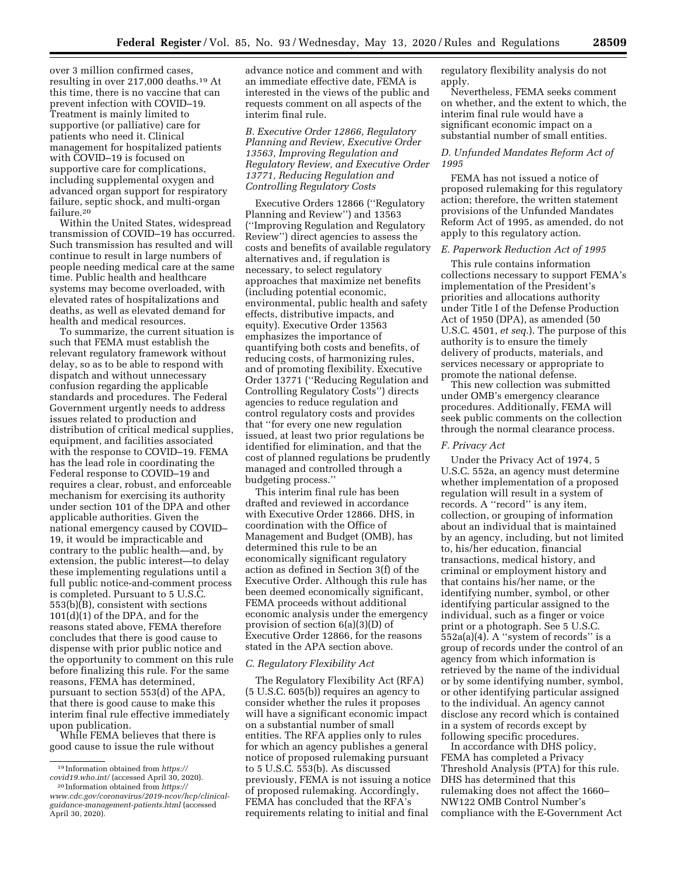over 3 million confirmed cases, resulting in over 217,000 deaths.19 At this time, there is no vaccine that can prevent infection with COVID–19. Treatment is mainly limited to supportive (or palliative) care for patients who need it. Clinical management for hospitalized patients with COVID–19 is focused on supportive care for complications, including supplemental oxygen and advanced organ support for respiratory failure, septic shock, and multi-organ failure.20

Within the United States, widespread transmission of COVID–19 has occurred. Such transmission has resulted and will continue to result in large numbers of people needing medical care at the same time. Public health and healthcare systems may become overloaded, with elevated rates of hospitalizations and deaths, as well as elevated demand for health and medical resources.

To summarize, the current situation is such that FEMA must establish the relevant regulatory framework without delay, so as to be able to respond with dispatch and without unnecessary confusion regarding the applicable standards and procedures. The Federal Government urgently needs to address issues related to production and distribution of critical medical supplies, equipment, and facilities associated with the response to COVID–19. FEMA has the lead role in coordinating the Federal response to COVID–19 and requires a clear, robust, and enforceable mechanism for exercising its authority under section 101 of the DPA and other applicable authorities. Given the national emergency caused by COVID– 19, it would be impracticable and contrary to the public health—and, by extension, the public interest—to delay these implementing regulations until a full public notice-and-comment process is completed. Pursuant to 5 U.S.C. 553(b)(B), consistent with sections 101(d)(1) of the DPA, and for the reasons stated above, FEMA therefore concludes that there is good cause to dispense with prior public notice and the opportunity to comment on this rule before finalizing this rule. For the same reasons, FEMA has determined, pursuant to section 553(d) of the APA, that there is good cause to make this interim final rule effective immediately upon publication.

While FEMA believes that there is good cause to issue the rule without

advance notice and comment and with an immediate effective date, FEMA is interested in the views of the public and requests comment on all aspects of the interim final rule.

*B. Executive Order 12866, Regulatory Planning and Review, Executive Order 13563, Improving Regulation and Regulatory Review, and Executive Order 13771, Reducing Regulation and Controlling Regulatory Costs* 

Executive Orders 12866 (''Regulatory Planning and Review'') and 13563 (''Improving Regulation and Regulatory Review'') direct agencies to assess the costs and benefits of available regulatory alternatives and, if regulation is necessary, to select regulatory approaches that maximize net benefits (including potential economic, environmental, public health and safety effects, distributive impacts, and equity). Executive Order 13563 emphasizes the importance of quantifying both costs and benefits, of reducing costs, of harmonizing rules, and of promoting flexibility. Executive Order 13771 (''Reducing Regulation and Controlling Regulatory Costs'') directs agencies to reduce regulation and control regulatory costs and provides that ''for every one new regulation issued, at least two prior regulations be identified for elimination, and that the cost of planned regulations be prudently managed and controlled through a budgeting process.''

This interim final rule has been drafted and reviewed in accordance with Executive Order 12866. DHS, in coordination with the Office of Management and Budget (OMB), has determined this rule to be an economically significant regulatory action as defined in Section 3(f) of the Executive Order. Although this rule has been deemed economically significant, FEMA proceeds without additional economic analysis under the emergency provision of section 6(a)(3)(D) of Executive Order 12866, for the reasons stated in the APA section above.

### *C. Regulatory Flexibility Act*

The Regulatory Flexibility Act (RFA) (5 U.S.C. 605(b)) requires an agency to consider whether the rules it proposes will have a significant economic impact on a substantial number of small entities. The RFA applies only to rules for which an agency publishes a general notice of proposed rulemaking pursuant to 5 U.S.C. 553(b). As discussed previously, FEMA is not issuing a notice of proposed rulemaking. Accordingly, FEMA has concluded that the RFA's requirements relating to initial and final

regulatory flexibility analysis do not apply.

Nevertheless, FEMA seeks comment on whether, and the extent to which, the interim final rule would have a significant economic impact on a substantial number of small entities.

# *D. Unfunded Mandates Reform Act of 1995*

FEMA has not issued a notice of proposed rulemaking for this regulatory action; therefore, the written statement provisions of the Unfunded Mandates Reform Act of 1995, as amended, do not apply to this regulatory action.

## *E. Paperwork Reduction Act of 1995*

This rule contains information collections necessary to support FEMA's implementation of the President's priorities and allocations authority under Title I of the Defense Production Act of 1950 (DPA), as amended (50 U.S.C. 4501, *et seq.*). The purpose of this authority is to ensure the timely delivery of products, materials, and services necessary or appropriate to promote the national defense.

This new collection was submitted under OMB's emergency clearance procedures. Additionally, FEMA will seek public comments on the collection through the normal clearance process.

### *F. Privacy Act*

Under the Privacy Act of 1974, 5 U.S.C. 552a, an agency must determine whether implementation of a proposed regulation will result in a system of records. A ''record'' is any item, collection, or grouping of information about an individual that is maintained by an agency, including, but not limited to, his/her education, financial transactions, medical history, and criminal or employment history and that contains his/her name, or the identifying number, symbol, or other identifying particular assigned to the individual, such as a finger or voice print or a photograph. See 5 U.S.C. 552a(a)(4). A ''system of records'' is a group of records under the control of an agency from which information is retrieved by the name of the individual or by some identifying number, symbol, or other identifying particular assigned to the individual. An agency cannot disclose any record which is contained in a system of records except by following specific procedures.

In accordance with DHS policy, FEMA has completed a Privacy Threshold Analysis (PTA) for this rule. DHS has determined that this rulemaking does not affect the 1660– NW122 OMB Control Number's compliance with the E-Government Act

<sup>19</sup> Information obtained from *[https://](https://covid19.who.int/) [covid19.who.int/](https://covid19.who.int/)* (accessed April 30, 2020).

<sup>20</sup> Information obtained from *[https://](https://www.cdc.gov/coronavirus/2019-ncov/hcp/clinical-guidance-management-patients.html) [www.cdc.gov/coronavirus/2019-ncov/hcp/clinical](https://www.cdc.gov/coronavirus/2019-ncov/hcp/clinical-guidance-management-patients.html)[guidance-management-patients.html](https://www.cdc.gov/coronavirus/2019-ncov/hcp/clinical-guidance-management-patients.html)* (accessed April 30, 2020).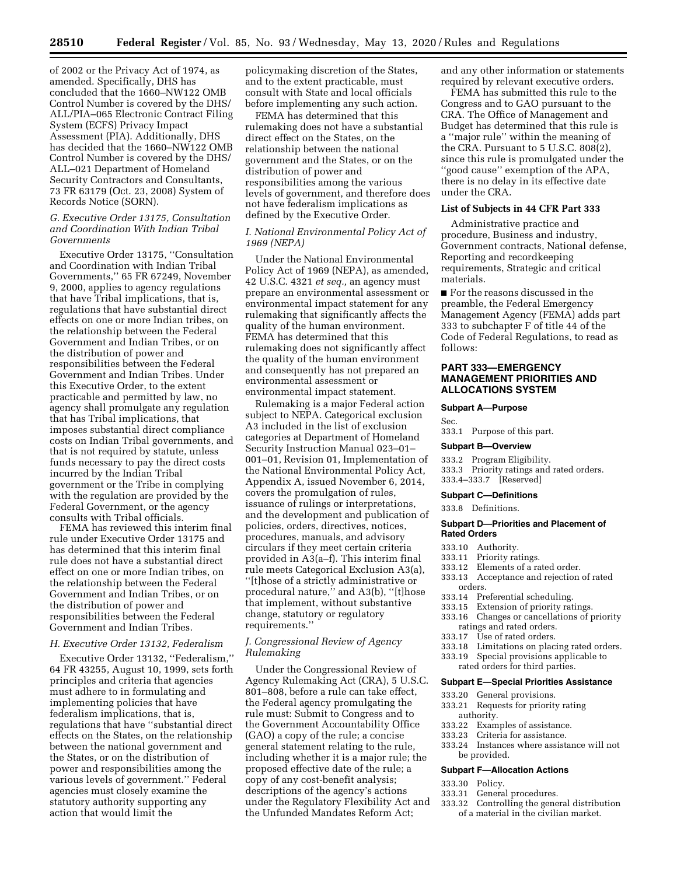of 2002 or the Privacy Act of 1974, as amended. Specifically, DHS has concluded that the 1660–NW122 OMB Control Number is covered by the DHS/ ALL/PIA–065 Electronic Contract Filing System (ECFS) Privacy Impact Assessment (PIA). Additionally, DHS has decided that the 1660–NW122 OMB Control Number is covered by the DHS/ ALL–021 Department of Homeland Security Contractors and Consultants, 73 FR 63179 (Oct. 23, 2008) System of Records Notice (SORN).

# *G. Executive Order 13175, Consultation and Coordination With Indian Tribal Governments*

Executive Order 13175, ''Consultation and Coordination with Indian Tribal Governments,'' 65 FR 67249, November 9, 2000, applies to agency regulations that have Tribal implications, that is, regulations that have substantial direct effects on one or more Indian tribes, on the relationship between the Federal Government and Indian Tribes, or on the distribution of power and responsibilities between the Federal Government and Indian Tribes. Under this Executive Order, to the extent practicable and permitted by law, no agency shall promulgate any regulation that has Tribal implications, that imposes substantial direct compliance costs on Indian Tribal governments, and that is not required by statute, unless funds necessary to pay the direct costs incurred by the Indian Tribal government or the Tribe in complying with the regulation are provided by the Federal Government, or the agency consults with Tribal officials.

FEMA has reviewed this interim final rule under Executive Order 13175 and has determined that this interim final rule does not have a substantial direct effect on one or more Indian tribes, on the relationship between the Federal Government and Indian Tribes, or on the distribution of power and responsibilities between the Federal Government and Indian Tribes.

## *H. Executive Order 13132, Federalism*

Executive Order 13132, ''Federalism,'' 64 FR 43255, August 10, 1999, sets forth principles and criteria that agencies must adhere to in formulating and implementing policies that have federalism implications, that is, regulations that have ''substantial direct effects on the States, on the relationship between the national government and the States, or on the distribution of power and responsibilities among the various levels of government.'' Federal agencies must closely examine the statutory authority supporting any action that would limit the

policymaking discretion of the States, and to the extent practicable, must consult with State and local officials before implementing any such action.

FEMA has determined that this rulemaking does not have a substantial direct effect on the States, on the relationship between the national government and the States, or on the distribution of power and responsibilities among the various levels of government, and therefore does not have federalism implications as defined by the Executive Order.

## *I. National Environmental Policy Act of 1969 (NEPA)*

Under the National Environmental Policy Act of 1969 (NEPA), as amended, 42 U.S.C. 4321 *et seq.,* an agency must prepare an environmental assessment or environmental impact statement for any rulemaking that significantly affects the quality of the human environment. FEMA has determined that this rulemaking does not significantly affect the quality of the human environment and consequently has not prepared an environmental assessment or environmental impact statement.

Rulemaking is a major Federal action subject to NEPA. Categorical exclusion A3 included in the list of exclusion categories at Department of Homeland Security Instruction Manual 023–01– 001–01, Revision 01, Implementation of the National Environmental Policy Act, Appendix A, issued November 6, 2014, covers the promulgation of rules, issuance of rulings or interpretations, and the development and publication of policies, orders, directives, notices, procedures, manuals, and advisory circulars if they meet certain criteria provided in A3(a–f). This interim final rule meets Categorical Exclusion A3(a), ''[t]hose of a strictly administrative or procedural nature,'' and A3(b), ''[t]hose that implement, without substantive change, statutory or regulatory requirements.''

## *J. Congressional Review of Agency Rulemaking*

Under the Congressional Review of Agency Rulemaking Act (CRA), 5 U.S.C. 801–808, before a rule can take effect, the Federal agency promulgating the rule must: Submit to Congress and to the Government Accountability Office (GAO) a copy of the rule; a concise general statement relating to the rule, including whether it is a major rule; the proposed effective date of the rule; a copy of any cost-benefit analysis; descriptions of the agency's actions under the Regulatory Flexibility Act and the Unfunded Mandates Reform Act;

and any other information or statements required by relevant executive orders.

FEMA has submitted this rule to the Congress and to GAO pursuant to the CRA. The Office of Management and Budget has determined that this rule is a ''major rule'' within the meaning of the CRA. Pursuant to 5 U.S.C. 808(2), since this rule is promulgated under the ''good cause'' exemption of the APA, there is no delay in its effective date under the CRA.

### **List of Subjects in 44 CFR Part 333**

Administrative practice and procedure, Business and industry, Government contracts, National defense, Reporting and recordkeeping requirements, Strategic and critical materials.

■ For the reasons discussed in the preamble, the Federal Emergency Management Agency (FEMA) adds part 333 to subchapter F of title 44 of the Code of Federal Regulations, to read as follows:

## **PART 333—EMERGENCY MANAGEMENT PRIORITIES AND ALLOCATIONS SYSTEM**

## **Subpart A—Purpose**

Sec.

# 333.1 Purpose of this part.

# **Subpart B—Overview**

333.2 Program Eligibility.

333.3 Priority ratings and rated orders. 333.4–333.7 [Reserved]

## **Subpart C—Definitions**

333.8 Definitions.

### **Subpart D—Priorities and Placement of Rated Orders**

- 
- 333.10 Authority.<br>333.11 Priority ra Priority ratings.
- 
- 333.12 Elements of a rated order.<br>333.13 Acceptance and rejection Acceptance and rejection of rated orders.
- 
- 333.14 Preferential scheduling. Extension of priority ratings.
- 333.16 Changes or cancellations of priority
- ratings and rated orders.<br>333.17 Use of rated orders.
- Use of rated orders.
- 333.18 Limitations on placing rated orders.
- 333.19 Special provisions applicable to rated orders for third parties.

# **Subpart E—Special Priorities Assistance**

- 333.20 General provisions.
- 333.21 Requests for priority rating authority.
- 
- 333.22 Examples of assistance. Criteria for assistance.
- 333.24 Instances where assistance will not be provided.

### **Subpart F—Allocation Actions**

- 
- 333.30 Policy. General procedures.
- 333.32 Controlling the general distribution
- of a material in the civilian market.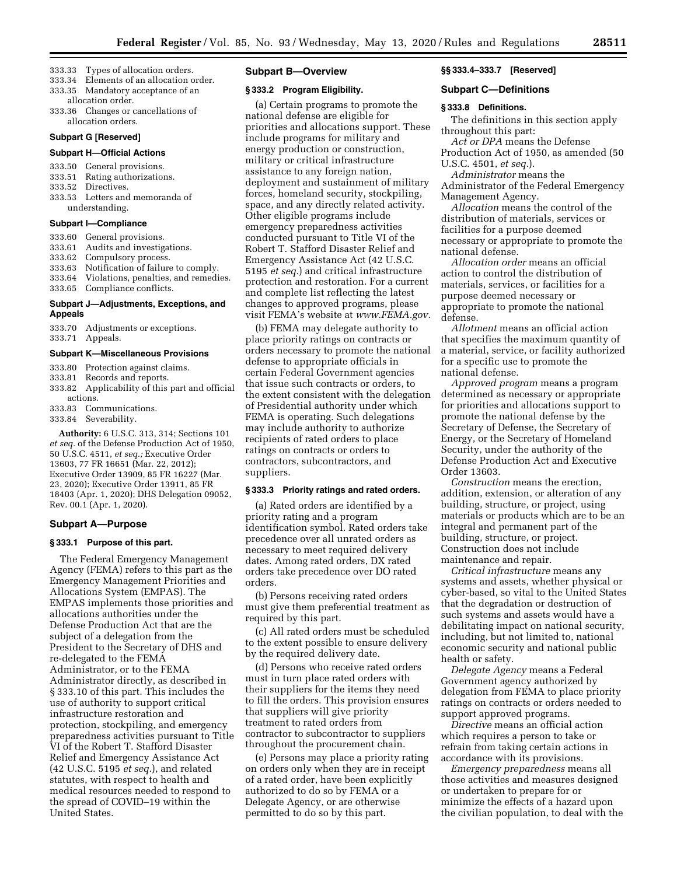- 333.33 Types of allocation orders.
- 333.34 Elements of an allocation order.
- 333.35 Mandatory acceptance of an
- allocation order. 333.36 Changes or cancellations of allocation orders.

#### **Subpart G [Reserved]**

#### **Subpart H—Official Actions**

333.50 General provisions.

- 333.51 Rating authorizations.<br>333.52 Directives
- Directives.
- 333.53 Letters and memoranda of understanding.

### **Subpart I—Compliance**

- 333.60 General provisions.
- 333.61 Audits and investigations.
- 333.62 Compulsory process.
- 333.63 Notification of failure to comply.
- 333.64 Violations, penalties, and remedies. 333.65 Compliance conflicts.
- **Subpart J—Adjustments, Exceptions, and**

# **Appeals**

333.70 Adjustments or exceptions. 333.71 Appeals.

#### **Subpart K—Miscellaneous Provisions**

- 333.80 Protection against claims.
- 333.81 Records and reports.
- 333.82 Applicability of this part and official actions.
- 333.83 Communications.
- 333.84 Severability.

**Authority:** 6 U.S.C. 313, 314; Sections 101 *et seq.* of the Defense Production Act of 1950, 50 U.S.C. 4511, *et seq.;* Executive Order 13603, 77 FR 16651 (Mar. 22, 2012); Executive Order 13909, 85 FR 16227 (Mar. 23, 2020); Executive Order 13911, 85 FR 18403 (Apr. 1, 2020); DHS Delegation 09052, Rev. 00.1 (Apr. 1, 2020).

## **Subpart A—Purpose**

# **§ 333.1 Purpose of this part.**

The Federal Emergency Management Agency (FEMA) refers to this part as the Emergency Management Priorities and Allocations System (EMPAS). The EMPAS implements those priorities and allocations authorities under the Defense Production Act that are the subject of a delegation from the President to the Secretary of DHS and re-delegated to the FEMA Administrator, or to the FEMA Administrator directly, as described in § 333.10 of this part. This includes the use of authority to support critical infrastructure restoration and protection, stockpiling, and emergency preparedness activities pursuant to Title VI of the Robert T. Stafford Disaster Relief and Emergency Assistance Act (42 U.S.C. 5195 *et seq.*), and related statutes, with respect to health and medical resources needed to respond to the spread of COVID–19 within the United States.

### **Subpart B—Overview**

### **§ 333.2 Program Eligibility.**

(a) Certain programs to promote the national defense are eligible for priorities and allocations support. These include programs for military and energy production or construction, military or critical infrastructure assistance to any foreign nation, deployment and sustainment of military forces, homeland security, stockpiling, space, and any directly related activity. Other eligible programs include emergency preparedness activities conducted pursuant to Title VI of the Robert T. Stafford Disaster Relief and Emergency Assistance Act (42 U.S.C. 5195 *et seq.*) and critical infrastructure protection and restoration. For a current and complete list reflecting the latest changes to approved programs, please visit FEMA's website at *[www.FEMA.gov.](http://www.FEMA.gov)* 

(b) FEMA may delegate authority to place priority ratings on contracts or orders necessary to promote the national defense to appropriate officials in certain Federal Government agencies that issue such contracts or orders, to the extent consistent with the delegation of Presidential authority under which FEMA is operating. Such delegations may include authority to authorize recipients of rated orders to place ratings on contracts or orders to contractors, subcontractors, and suppliers.

### **§ 333.3 Priority ratings and rated orders.**

(a) Rated orders are identified by a priority rating and a program identification symbol. Rated orders take precedence over all unrated orders as necessary to meet required delivery dates. Among rated orders, DX rated orders take precedence over DO rated orders.

(b) Persons receiving rated orders must give them preferential treatment as required by this part.

(c) All rated orders must be scheduled to the extent possible to ensure delivery by the required delivery date.

(d) Persons who receive rated orders must in turn place rated orders with their suppliers for the items they need to fill the orders. This provision ensures that suppliers will give priority treatment to rated orders from contractor to subcontractor to suppliers throughout the procurement chain.

(e) Persons may place a priority rating on orders only when they are in receipt of a rated order, have been explicitly authorized to do so by FEMA or a Delegate Agency, or are otherwise permitted to do so by this part.

### **§§ 333.4–333.7 [Reserved]**

### **Subpart C—Definitions**

# **§ 333.8 Definitions.**

The definitions in this section apply throughout this part:

*Act or DPA* means the Defense Production Act of 1950, as amended (50 U.S.C. 4501, *et seq.*).

*Administrator* means the

Administrator of the Federal Emergency Management Agency.

*Allocation* means the control of the distribution of materials, services or facilities for a purpose deemed necessary or appropriate to promote the national defense.

*Allocation order* means an official action to control the distribution of materials, services, or facilities for a purpose deemed necessary or appropriate to promote the national defense.

*Allotment* means an official action that specifies the maximum quantity of a material, service, or facility authorized for a specific use to promote the national defense.

*Approved program* means a program determined as necessary or appropriate for priorities and allocations support to promote the national defense by the Secretary of Defense, the Secretary of Energy, or the Secretary of Homeland Security, under the authority of the Defense Production Act and Executive Order 13603.

*Construction* means the erection, addition, extension, or alteration of any building, structure, or project, using materials or products which are to be an integral and permanent part of the building, structure, or project. Construction does not include maintenance and repair.

*Critical infrastructure* means any systems and assets, whether physical or cyber-based, so vital to the United States that the degradation or destruction of such systems and assets would have a debilitating impact on national security, including, but not limited to, national economic security and national public health or safety.

*Delegate Agency* means a Federal Government agency authorized by delegation from FEMA to place priority ratings on contracts or orders needed to support approved programs.

*Directive* means an official action which requires a person to take or refrain from taking certain actions in accordance with its provisions.

*Emergency preparedness* means all those activities and measures designed or undertaken to prepare for or minimize the effects of a hazard upon the civilian population, to deal with the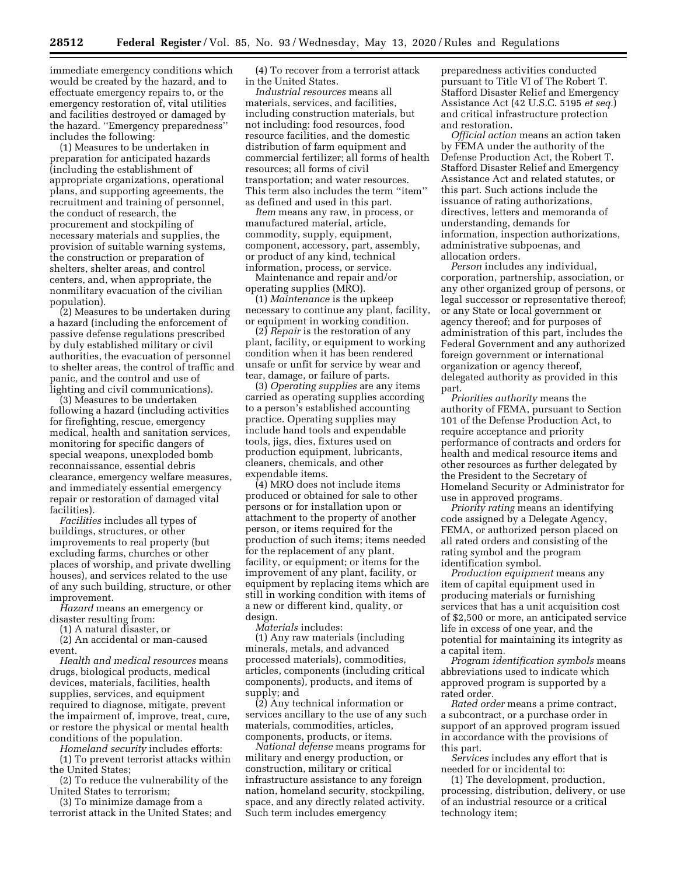immediate emergency conditions which would be created by the hazard, and to effectuate emergency repairs to, or the emergency restoration of, vital utilities and facilities destroyed or damaged by the hazard. ''Emergency preparedness'' includes the following:

(1) Measures to be undertaken in preparation for anticipated hazards (including the establishment of appropriate organizations, operational plans, and supporting agreements, the recruitment and training of personnel, the conduct of research, the procurement and stockpiling of necessary materials and supplies, the provision of suitable warning systems, the construction or preparation of shelters, shelter areas, and control centers, and, when appropriate, the nonmilitary evacuation of the civilian population).

(2) Measures to be undertaken during a hazard (including the enforcement of passive defense regulations prescribed by duly established military or civil authorities, the evacuation of personnel to shelter areas, the control of traffic and panic, and the control and use of lighting and civil communications).

(3) Measures to be undertaken following a hazard (including activities for firefighting, rescue, emergency medical, health and sanitation services, monitoring for specific dangers of special weapons, unexploded bomb reconnaissance, essential debris clearance, emergency welfare measures, and immediately essential emergency repair or restoration of damaged vital facilities).

*Facilities* includes all types of buildings, structures, or other improvements to real property (but excluding farms, churches or other places of worship, and private dwelling houses), and services related to the use of any such building, structure, or other improvement.

*Hazard* means an emergency or disaster resulting from:

(1) A natural disaster, or

(2) An accidental or man-caused event.

*Health and medical resources* means drugs, biological products, medical devices, materials, facilities, health supplies, services, and equipment required to diagnose, mitigate, prevent the impairment of, improve, treat, cure, or restore the physical or mental health conditions of the population.

*Homeland security* includes efforts:

(1) To prevent terrorist attacks within the United States;

(2) To reduce the vulnerability of the United States to terrorism;

(3) To minimize damage from a terrorist attack in the United States; and

(4) To recover from a terrorist attack in the United States.

*Industrial resources* means all materials, services, and facilities, including construction materials, but not including: food resources, food resource facilities, and the domestic distribution of farm equipment and commercial fertilizer; all forms of health resources; all forms of civil transportation; and water resources. This term also includes the term ''item'' as defined and used in this part.

*Item* means any raw, in process, or manufactured material, article, commodity, supply, equipment, component, accessory, part, assembly, or product of any kind, technical information, process, or service.

Maintenance and repair and/or operating supplies (MRO).

(1) *Maintenance* is the upkeep necessary to continue any plant, facility, or equipment in working condition.

(2) *Repair* is the restoration of any plant, facility, or equipment to working condition when it has been rendered unsafe or unfit for service by wear and tear, damage, or failure of parts.

(3) *Operating supplies* are any items carried as operating supplies according to a person's established accounting practice. Operating supplies may include hand tools and expendable tools, jigs, dies, fixtures used on production equipment, lubricants, cleaners, chemicals, and other expendable items.

(4) MRO does not include items produced or obtained for sale to other persons or for installation upon or attachment to the property of another person, or items required for the production of such items; items needed for the replacement of any plant, facility, or equipment; or items for the improvement of any plant, facility, or equipment by replacing items which are still in working condition with items of a new or different kind, quality, or design.

*Materials* includes:

(1) Any raw materials (including minerals, metals, and advanced processed materials), commodities, articles, components (including critical components), products, and items of supply; and

(2) Any technical information or services ancillary to the use of any such materials, commodities, articles, components, products, or items.

*National defense* means programs for military and energy production, or construction, military or critical infrastructure assistance to any foreign nation, homeland security, stockpiling, space, and any directly related activity. Such term includes emergency

preparedness activities conducted pursuant to Title VI of The Robert T. Stafford Disaster Relief and Emergency Assistance Act (42 U.S.C. 5195 *et seq.*) and critical infrastructure protection and restoration.

*Official action* means an action taken by FEMA under the authority of the Defense Production Act, the Robert T. Stafford Disaster Relief and Emergency Assistance Act and related statutes, or this part. Such actions include the issuance of rating authorizations, directives, letters and memoranda of understanding, demands for information, inspection authorizations, administrative subpoenas, and allocation orders.

*Person* includes any individual, corporation, partnership, association, or any other organized group of persons, or legal successor or representative thereof; or any State or local government or agency thereof; and for purposes of administration of this part, includes the Federal Government and any authorized foreign government or international organization or agency thereof, delegated authority as provided in this part.

*Priorities authority* means the authority of FEMA, pursuant to Section 101 of the Defense Production Act, to require acceptance and priority performance of contracts and orders for health and medical resource items and other resources as further delegated by the President to the Secretary of Homeland Security or Administrator for use in approved programs.

*Priority rating* means an identifying code assigned by a Delegate Agency, FEMA, or authorized person placed on all rated orders and consisting of the rating symbol and the program identification symbol.

*Production equipment* means any item of capital equipment used in producing materials or furnishing services that has a unit acquisition cost of \$2,500 or more, an anticipated service life in excess of one year, and the potential for maintaining its integrity as a capital item.

*Program identification symbols* means abbreviations used to indicate which approved program is supported by a rated order.

*Rated order* means a prime contract, a subcontract, or a purchase order in support of an approved program issued in accordance with the provisions of this part.

*Services* includes any effort that is needed for or incidental to:

(1) The development, production, processing, distribution, delivery, or use of an industrial resource or a critical technology item;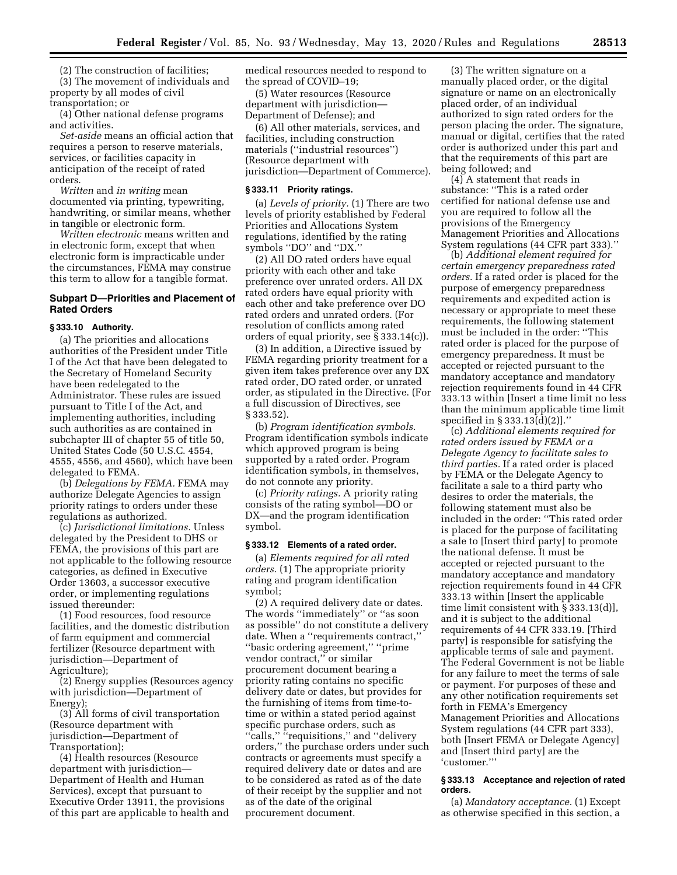(2) The construction of facilities;

(3) The movement of individuals and property by all modes of civil transportation; or

(4) Other national defense programs and activities.

*Set-aside* means an official action that requires a person to reserve materials, services, or facilities capacity in anticipation of the receipt of rated orders.

*Written* and *in writing* mean documented via printing, typewriting, handwriting, or similar means, whether in tangible or electronic form.

*Written electronic* means written and in electronic form, except that when electronic form is impracticable under the circumstances, FEMA may construe this term to allow for a tangible format.

## **Subpart D—Priorities and Placement of Rated Orders**

### **§ 333.10 Authority.**

(a) The priorities and allocations authorities of the President under Title I of the Act that have been delegated to the Secretary of Homeland Security have been redelegated to the Administrator. These rules are issued pursuant to Title I of the Act, and implementing authorities, including such authorities as are contained in subchapter III of chapter 55 of title 50, United States Code (50 U.S.C. 4554, 4555, 4556, and 4560), which have been delegated to FEMA.

(b) *Delegations by FEMA.* FEMA may authorize Delegate Agencies to assign priority ratings to orders under these regulations as authorized.

(c) *Jurisdictional limitations.* Unless delegated by the President to DHS or FEMA, the provisions of this part are not applicable to the following resource categories, as defined in Executive Order 13603, a successor executive order, or implementing regulations issued thereunder:

(1) Food resources, food resource facilities, and the domestic distribution of farm equipment and commercial fertilizer (Resource department with jurisdiction—Department of Agriculture);

(2) Energy supplies (Resources agency with jurisdiction—Department of Energy);

(3) All forms of civil transportation (Resource department with jurisdiction—Department of Transportation);

(4) Health resources (Resource department with jurisdiction— Department of Health and Human Services), except that pursuant to Executive Order 13911, the provisions of this part are applicable to health and medical resources needed to respond to the spread of COVID–19;

(5) Water resources (Resource department with jurisdiction— Department of Defense); and

(6) All other materials, services, and facilities, including construction materials (''industrial resources'') (Resource department with jurisdiction—Department of Commerce).

## **§ 333.11 Priority ratings.**

(a) *Levels of priority.* (1) There are two levels of priority established by Federal Priorities and Allocations System regulations, identified by the rating symbols ''DO'' and ''DX.''

(2) All DO rated orders have equal priority with each other and take preference over unrated orders. All DX rated orders have equal priority with each other and take preference over DO rated orders and unrated orders. (For resolution of conflicts among rated orders of equal priority, see § 333.14(c)).

(3) In addition, a Directive issued by FEMA regarding priority treatment for a given item takes preference over any DX rated order, DO rated order, or unrated order, as stipulated in the Directive. (For a full discussion of Directives, see § 333.52).

(b) *Program identification symbols.*  Program identification symbols indicate which approved program is being supported by a rated order. Program identification symbols, in themselves, do not connote any priority.

(c) *Priority ratings.* A priority rating consists of the rating symbol—DO or DX—and the program identification symbol.

### **§ 333.12 Elements of a rated order.**

(a) *Elements required for all rated orders.* (1) The appropriate priority rating and program identification symbol;

(2) A required delivery date or dates. The words ''immediately'' or ''as soon as possible'' do not constitute a delivery date. When a ''requirements contract,'' ''basic ordering agreement,'' ''prime vendor contract,'' or similar procurement document bearing a priority rating contains no specific delivery date or dates, but provides for the furnishing of items from time-totime or within a stated period against specific purchase orders, such as "calls," "requisitions," and "delivery orders,'' the purchase orders under such contracts or agreements must specify a required delivery date or dates and are to be considered as rated as of the date of their receipt by the supplier and not as of the date of the original procurement document.

(3) The written signature on a manually placed order, or the digital signature or name on an electronically placed order, of an individual authorized to sign rated orders for the person placing the order. The signature, manual or digital, certifies that the rated order is authorized under this part and that the requirements of this part are being followed; and

(4) A statement that reads in substance: ''This is a rated order certified for national defense use and you are required to follow all the provisions of the Emergency Management Priorities and Allocations System regulations (44 CFR part 333).''

(b) *Additional element required for certain emergency preparedness rated orders.* If a rated order is placed for the purpose of emergency preparedness requirements and expedited action is necessary or appropriate to meet these requirements, the following statement must be included in the order: ''This rated order is placed for the purpose of emergency preparedness. It must be accepted or rejected pursuant to the mandatory acceptance and mandatory rejection requirements found in 44 CFR 333.13 within [Insert a time limit no less than the minimum applicable time limit specified in § 333.13(d)(2)].''

(c) *Additional elements required for rated orders issued by FEMA or a Delegate Agency to facilitate sales to third parties.* If a rated order is placed by FEMA or the Delegate Agency to facilitate a sale to a third party who desires to order the materials, the following statement must also be included in the order: ''This rated order is placed for the purpose of facilitating a sale to [Insert third party] to promote the national defense. It must be accepted or rejected pursuant to the mandatory acceptance and mandatory rejection requirements found in 44 CFR 333.13 within [Insert the applicable time limit consistent with § 333.13(d)], and it is subject to the additional requirements of 44 CFR 333.19. [Third party] is responsible for satisfying the applicable terms of sale and payment. The Federal Government is not be liable for any failure to meet the terms of sale or payment. For purposes of these and any other notification requirements set forth in FEMA's Emergency Management Priorities and Allocations System regulations (44 CFR part 333), both [Insert FEMA or Delegate Agency] and [Insert third party] are the 'customer.'''

### **§ 333.13 Acceptance and rejection of rated orders.**

(a) *Mandatory acceptance.* (1) Except as otherwise specified in this section, a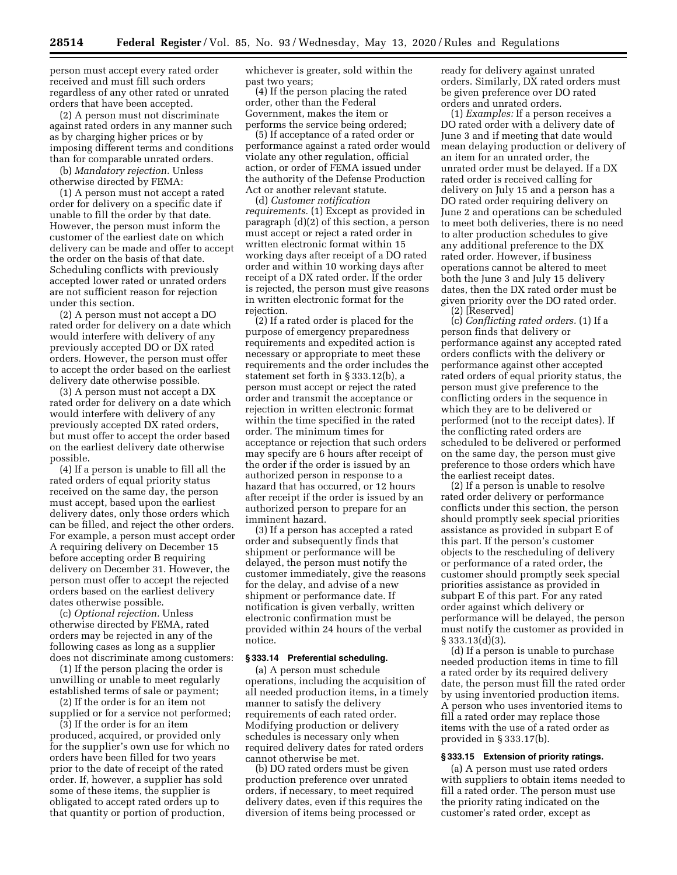person must accept every rated order received and must fill such orders regardless of any other rated or unrated orders that have been accepted.

(2) A person must not discriminate against rated orders in any manner such as by charging higher prices or by imposing different terms and conditions than for comparable unrated orders.

(b) *Mandatory rejection.* Unless otherwise directed by FEMA:

(1) A person must not accept a rated order for delivery on a specific date if unable to fill the order by that date. However, the person must inform the customer of the earliest date on which delivery can be made and offer to accept the order on the basis of that date. Scheduling conflicts with previously accepted lower rated or unrated orders are not sufficient reason for rejection under this section.

(2) A person must not accept a DO rated order for delivery on a date which would interfere with delivery of any previously accepted DO or DX rated orders. However, the person must offer to accept the order based on the earliest delivery date otherwise possible.

(3) A person must not accept a DX rated order for delivery on a date which would interfere with delivery of any previously accepted DX rated orders, but must offer to accept the order based on the earliest delivery date otherwise possible.

(4) If a person is unable to fill all the rated orders of equal priority status received on the same day, the person must accept, based upon the earliest delivery dates, only those orders which can be filled, and reject the other orders. For example, a person must accept order A requiring delivery on December 15 before accepting order B requiring delivery on December 31. However, the person must offer to accept the rejected orders based on the earliest delivery dates otherwise possible.

(c) *Optional rejection.* Unless otherwise directed by FEMA, rated orders may be rejected in any of the following cases as long as a supplier does not discriminate among customers:

(1) If the person placing the order is unwilling or unable to meet regularly established terms of sale or payment;

(2) If the order is for an item not supplied or for a service not performed;

(3) If the order is for an item produced, acquired, or provided only for the supplier's own use for which no orders have been filled for two years prior to the date of receipt of the rated order. If, however, a supplier has sold some of these items, the supplier is obligated to accept rated orders up to that quantity or portion of production,

whichever is greater, sold within the past two years;

(4) If the person placing the rated order, other than the Federal Government, makes the item or performs the service being ordered;

(5) If acceptance of a rated order or performance against a rated order would violate any other regulation, official action, or order of FEMA issued under the authority of the Defense Production Act or another relevant statute.

(d) *Customer notification requirements.* (1) Except as provided in paragraph (d)(2) of this section, a person must accept or reject a rated order in written electronic format within 15 working days after receipt of a DO rated order and within 10 working days after receipt of a DX rated order. If the order is rejected, the person must give reasons in written electronic format for the rejection.

(2) If a rated order is placed for the purpose of emergency preparedness requirements and expedited action is necessary or appropriate to meet these requirements and the order includes the statement set forth in § 333.12(b), a person must accept or reject the rated order and transmit the acceptance or rejection in written electronic format within the time specified in the rated order. The minimum times for acceptance or rejection that such orders may specify are 6 hours after receipt of the order if the order is issued by an authorized person in response to a hazard that has occurred, or 12 hours after receipt if the order is issued by an authorized person to prepare for an imminent hazard.

(3) If a person has accepted a rated order and subsequently finds that shipment or performance will be delayed, the person must notify the customer immediately, give the reasons for the delay, and advise of a new shipment or performance date. If notification is given verbally, written electronic confirmation must be provided within 24 hours of the verbal notice.

### **§ 333.14 Preferential scheduling.**

(a) A person must schedule operations, including the acquisition of all needed production items, in a timely manner to satisfy the delivery requirements of each rated order. Modifying production or delivery schedules is necessary only when required delivery dates for rated orders cannot otherwise be met.

(b) DO rated orders must be given production preference over unrated orders, if necessary, to meet required delivery dates, even if this requires the diversion of items being processed or

ready for delivery against unrated orders. Similarly, DX rated orders must be given preference over DO rated orders and unrated orders.

(1) *Examples:* If a person receives a DO rated order with a delivery date of June 3 and if meeting that date would mean delaying production or delivery of an item for an unrated order, the unrated order must be delayed. If a DX rated order is received calling for delivery on July 15 and a person has a DO rated order requiring delivery on June 2 and operations can be scheduled to meet both deliveries, there is no need to alter production schedules to give any additional preference to the DX rated order. However, if business operations cannot be altered to meet both the June 3 and July 15 delivery dates, then the DX rated order must be given priority over the DO rated order.

(2) [Reserved]

(c) *Conflicting rated orders.* (1) If a person finds that delivery or performance against any accepted rated orders conflicts with the delivery or performance against other accepted rated orders of equal priority status, the person must give preference to the conflicting orders in the sequence in which they are to be delivered or performed (not to the receipt dates). If the conflicting rated orders are scheduled to be delivered or performed on the same day, the person must give preference to those orders which have the earliest receipt dates.

(2) If a person is unable to resolve rated order delivery or performance conflicts under this section, the person should promptly seek special priorities assistance as provided in subpart E of this part. If the person's customer objects to the rescheduling of delivery or performance of a rated order, the customer should promptly seek special priorities assistance as provided in subpart E of this part. For any rated order against which delivery or performance will be delayed, the person must notify the customer as provided in § 333.13(d)(3).

(d) If a person is unable to purchase needed production items in time to fill a rated order by its required delivery date, the person must fill the rated order by using inventoried production items. A person who uses inventoried items to fill a rated order may replace those items with the use of a rated order as provided in § 333.17(b).

# **§ 333.15 Extension of priority ratings.**

(a) A person must use rated orders with suppliers to obtain items needed to fill a rated order. The person must use the priority rating indicated on the customer's rated order, except as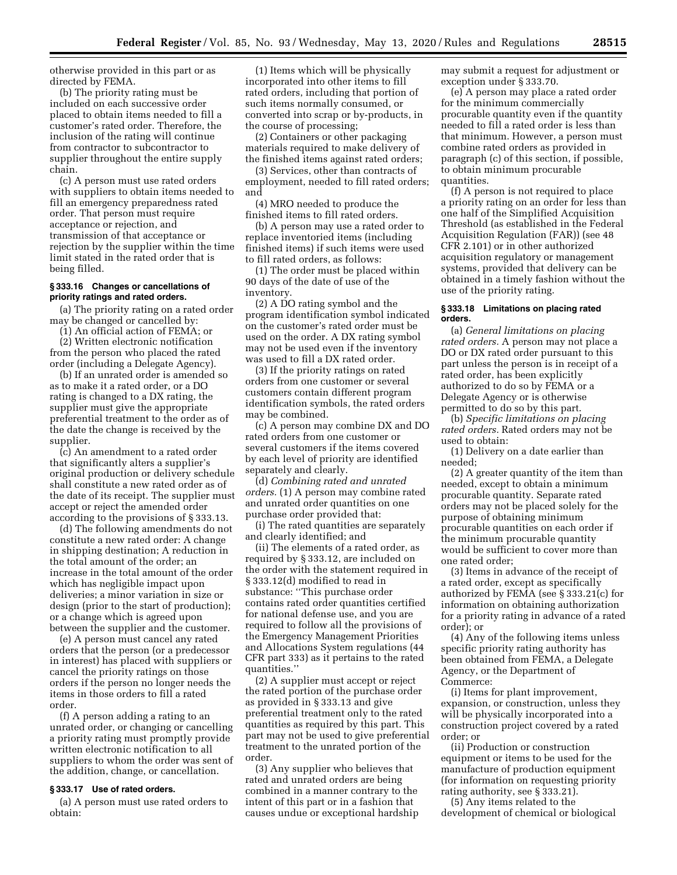otherwise provided in this part or as directed by FEMA.

(b) The priority rating must be included on each successive order placed to obtain items needed to fill a customer's rated order. Therefore, the inclusion of the rating will continue from contractor to subcontractor to supplier throughout the entire supply chain.

(c) A person must use rated orders with suppliers to obtain items needed to fill an emergency preparedness rated order. That person must require acceptance or rejection, and transmission of that acceptance or rejection by the supplier within the time limit stated in the rated order that is being filled.

### **§ 333.16 Changes or cancellations of priority ratings and rated orders.**

(a) The priority rating on a rated order may be changed or cancelled by:

(1) An official action of FEMA; or

(2) Written electronic notification from the person who placed the rated order (including a Delegate Agency).

(b) If an unrated order is amended so as to make it a rated order, or a DO rating is changed to a DX rating, the supplier must give the appropriate preferential treatment to the order as of the date the change is received by the supplier.

(c) An amendment to a rated order that significantly alters a supplier's original production or delivery schedule shall constitute a new rated order as of the date of its receipt. The supplier must accept or reject the amended order according to the provisions of § 333.13.

(d) The following amendments do not constitute a new rated order: A change in shipping destination; A reduction in the total amount of the order; an increase in the total amount of the order which has negligible impact upon deliveries; a minor variation in size or design (prior to the start of production); or a change which is agreed upon between the supplier and the customer.

(e) A person must cancel any rated orders that the person (or a predecessor in interest) has placed with suppliers or cancel the priority ratings on those orders if the person no longer needs the items in those orders to fill a rated order.

(f) A person adding a rating to an unrated order, or changing or cancelling a priority rating must promptly provide written electronic notification to all suppliers to whom the order was sent of the addition, change, or cancellation.

### **§ 333.17 Use of rated orders.**

(a) A person must use rated orders to obtain:

(1) Items which will be physically incorporated into other items to fill rated orders, including that portion of such items normally consumed, or converted into scrap or by-products, in the course of processing;

(2) Containers or other packaging materials required to make delivery of the finished items against rated orders;

(3) Services, other than contracts of employment, needed to fill rated orders; and

(4) MRO needed to produce the finished items to fill rated orders.

(b) A person may use a rated order to replace inventoried items (including finished items) if such items were used to fill rated orders, as follows:

(1) The order must be placed within 90 days of the date of use of the inventory.

(2) A DO rating symbol and the program identification symbol indicated on the customer's rated order must be used on the order. A DX rating symbol may not be used even if the inventory was used to fill a DX rated order.

(3) If the priority ratings on rated orders from one customer or several customers contain different program identification symbols, the rated orders may be combined.

(c) A person may combine DX and DO rated orders from one customer or several customers if the items covered by each level of priority are identified separately and clearly.

(d) *Combining rated and unrated orders.* (1) A person may combine rated and unrated order quantities on one purchase order provided that:

(i) The rated quantities are separately and clearly identified; and

(ii) The elements of a rated order, as required by § 333.12, are included on the order with the statement required in § 333.12(d) modified to read in substance: ''This purchase order contains rated order quantities certified for national defense use, and you are required to follow all the provisions of the Emergency Management Priorities and Allocations System regulations (44 CFR part 333) as it pertains to the rated quantities.''

(2) A supplier must accept or reject the rated portion of the purchase order as provided in § 333.13 and give preferential treatment only to the rated quantities as required by this part. This part may not be used to give preferential treatment to the unrated portion of the order.

(3) Any supplier who believes that rated and unrated orders are being combined in a manner contrary to the intent of this part or in a fashion that causes undue or exceptional hardship may submit a request for adjustment or exception under § 333.70.

(e) A person may place a rated order for the minimum commercially procurable quantity even if the quantity needed to fill a rated order is less than that minimum. However, a person must combine rated orders as provided in paragraph (c) of this section, if possible, to obtain minimum procurable quantities.

(f) A person is not required to place a priority rating on an order for less than one half of the Simplified Acquisition Threshold (as established in the Federal Acquisition Regulation (FAR)) (see 48 CFR 2.101) or in other authorized acquisition regulatory or management systems, provided that delivery can be obtained in a timely fashion without the use of the priority rating.

### **§ 333.18 Limitations on placing rated orders.**

(a) *General limitations on placing rated orders.* A person may not place a DO or DX rated order pursuant to this part unless the person is in receipt of a rated order, has been explicitly authorized to do so by FEMA or a Delegate Agency or is otherwise permitted to do so by this part.

(b) *Specific limitations on placing rated orders.* Rated orders may not be used to obtain:

(1) Delivery on a date earlier than needed;

(2) A greater quantity of the item than needed, except to obtain a minimum procurable quantity. Separate rated orders may not be placed solely for the purpose of obtaining minimum procurable quantities on each order if the minimum procurable quantity would be sufficient to cover more than one rated order;

(3) Items in advance of the receipt of a rated order, except as specifically authorized by FEMA (see § 333.21(c) for information on obtaining authorization for a priority rating in advance of a rated order); or

(4) Any of the following items unless specific priority rating authority has been obtained from FEMA, a Delegate Agency, or the Department of Commerce:

(i) Items for plant improvement, expansion, or construction, unless they will be physically incorporated into a construction project covered by a rated order; or

(ii) Production or construction equipment or items to be used for the manufacture of production equipment (for information on requesting priority rating authority, see § 333.21).

(5) Any items related to the development of chemical or biological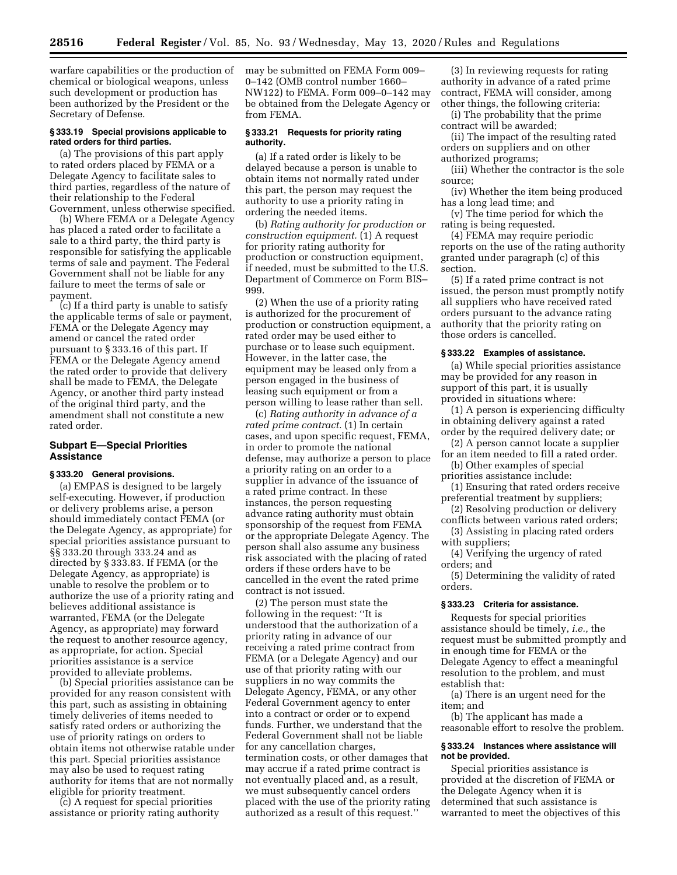warfare capabilities or the production of chemical or biological weapons, unless such development or production has been authorized by the President or the Secretary of Defense.

# **§ 333.19 Special provisions applicable to rated orders for third parties.**

(a) The provisions of this part apply to rated orders placed by FEMA or a Delegate Agency to facilitate sales to third parties, regardless of the nature of their relationship to the Federal Government, unless otherwise specified.

(b) Where FEMA or a Delegate Agency has placed a rated order to facilitate a sale to a third party, the third party is responsible for satisfying the applicable terms of sale and payment. The Federal Government shall not be liable for any failure to meet the terms of sale or payment.

(c) If a third party is unable to satisfy the applicable terms of sale or payment, FEMA or the Delegate Agency may amend or cancel the rated order pursuant to § 333.16 of this part. If FEMA or the Delegate Agency amend the rated order to provide that delivery shall be made to FEMA, the Delegate Agency, or another third party instead of the original third party, and the amendment shall not constitute a new rated order.

## **Subpart E—Special Priorities Assistance**

### **§ 333.20 General provisions.**

(a) EMPAS is designed to be largely self-executing. However, if production or delivery problems arise, a person should immediately contact FEMA (or the Delegate Agency, as appropriate) for special priorities assistance pursuant to §§ 333.20 through 333.24 and as directed by § 333.83. If FEMA (or the Delegate Agency, as appropriate) is unable to resolve the problem or to authorize the use of a priority rating and believes additional assistance is warranted, FEMA (or the Delegate Agency, as appropriate) may forward the request to another resource agency, as appropriate, for action. Special priorities assistance is a service provided to alleviate problems.

(b) Special priorities assistance can be provided for any reason consistent with this part, such as assisting in obtaining timely deliveries of items needed to satisfy rated orders or authorizing the use of priority ratings on orders to obtain items not otherwise ratable under this part. Special priorities assistance may also be used to request rating authority for items that are not normally eligible for priority treatment.

(c) A request for special priorities assistance or priority rating authority may be submitted on FEMA Form 009– 0–142 (OMB control number 1660– NW122) to FEMA. Form 009–0–142 may be obtained from the Delegate Agency or from FEMA.

### **§ 333.21 Requests for priority rating authority.**

(a) If a rated order is likely to be delayed because a person is unable to obtain items not normally rated under this part, the person may request the authority to use a priority rating in ordering the needed items.

(b) *Rating authority for production or construction equipment.* (1) A request for priority rating authority for production or construction equipment, if needed, must be submitted to the U.S. Department of Commerce on Form BIS– 999.

(2) When the use of a priority rating is authorized for the procurement of production or construction equipment, a rated order may be used either to purchase or to lease such equipment. However, in the latter case, the equipment may be leased only from a person engaged in the business of leasing such equipment or from a person willing to lease rather than sell.

(c) *Rating authority in advance of a rated prime contract.* (1) In certain cases, and upon specific request, FEMA, in order to promote the national defense, may authorize a person to place a priority rating on an order to a supplier in advance of the issuance of a rated prime contract. In these instances, the person requesting advance rating authority must obtain sponsorship of the request from FEMA or the appropriate Delegate Agency. The person shall also assume any business risk associated with the placing of rated orders if these orders have to be cancelled in the event the rated prime contract is not issued.

(2) The person must state the following in the request: ''It is understood that the authorization of a priority rating in advance of our receiving a rated prime contract from FEMA (or a Delegate Agency) and our use of that priority rating with our suppliers in no way commits the Delegate Agency, FEMA, or any other Federal Government agency to enter into a contract or order or to expend funds. Further, we understand that the Federal Government shall not be liable for any cancellation charges, termination costs, or other damages that may accrue if a rated prime contract is not eventually placed and, as a result, we must subsequently cancel orders placed with the use of the priority rating authorized as a result of this request.''

(3) In reviewing requests for rating authority in advance of a rated prime contract, FEMA will consider, among other things, the following criteria:

(i) The probability that the prime contract will be awarded;

(ii) The impact of the resulting rated orders on suppliers and on other authorized programs;

(iii) Whether the contractor is the sole source;

(iv) Whether the item being produced has a long lead time; and

(v) The time period for which the rating is being requested.

(4) FEMA may require periodic reports on the use of the rating authority granted under paragraph (c) of this section.

(5) If a rated prime contract is not issued, the person must promptly notify all suppliers who have received rated orders pursuant to the advance rating authority that the priority rating on those orders is cancelled.

### **§ 333.22 Examples of assistance.**

(a) While special priorities assistance may be provided for any reason in support of this part, it is usually provided in situations where:

(1) A person is experiencing difficulty in obtaining delivery against a rated order by the required delivery date; or

- (2) A person cannot locate a supplier
- for an item needed to fill a rated order. (b) Other examples of special

priorities assistance include:

(1) Ensuring that rated orders receive preferential treatment by suppliers;

(2) Resolving production or delivery conflicts between various rated orders;

(3) Assisting in placing rated orders with suppliers;

(4) Verifying the urgency of rated orders; and

(5) Determining the validity of rated orders.

# **§ 333.23 Criteria for assistance.**

Requests for special priorities assistance should be timely, *i.e.,* the request must be submitted promptly and in enough time for FEMA or the Delegate Agency to effect a meaningful resolution to the problem, and must establish that:

(a) There is an urgent need for the item; and

(b) The applicant has made a reasonable effort to resolve the problem.

### **§ 333.24 Instances where assistance will not be provided.**

Special priorities assistance is provided at the discretion of FEMA or the Delegate Agency when it is determined that such assistance is warranted to meet the objectives of this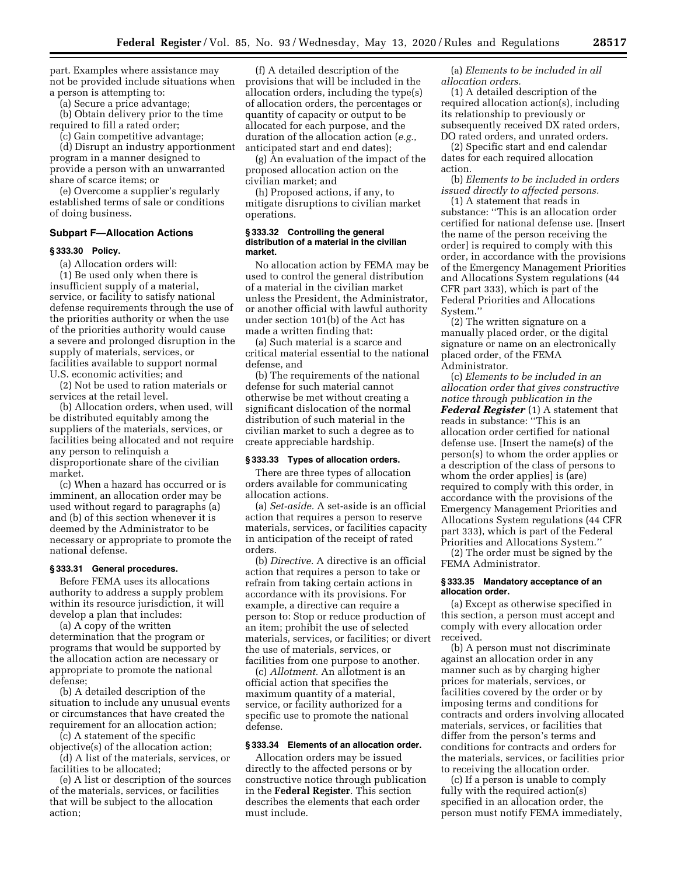part. Examples where assistance may not be provided include situations when a person is attempting to:

(a) Secure a price advantage;

(b) Obtain delivery prior to the time required to fill a rated order;

(c) Gain competitive advantage; (d) Disrupt an industry apportionment program in a manner designed to provide a person with an unwarranted share of scarce items; or

(e) Overcome a supplier's regularly established terms of sale or conditions of doing business.

# **Subpart F—Allocation Actions**

## **§ 333.30 Policy.**

(a) Allocation orders will:

(1) Be used only when there is insufficient supply of a material, service, or facility to satisfy national defense requirements through the use of the priorities authority or when the use of the priorities authority would cause a severe and prolonged disruption in the supply of materials, services, or facilities available to support normal U.S. economic activities; and

(2) Not be used to ration materials or services at the retail level.

(b) Allocation orders, when used, will be distributed equitably among the suppliers of the materials, services, or facilities being allocated and not require any person to relinquish a disproportionate share of the civilian market.

(c) When a hazard has occurred or is imminent, an allocation order may be used without regard to paragraphs (a) and (b) of this section whenever it is deemed by the Administrator to be necessary or appropriate to promote the national defense.

### **§ 333.31 General procedures.**

Before FEMA uses its allocations authority to address a supply problem within its resource jurisdiction, it will develop a plan that includes:

(a) A copy of the written determination that the program or programs that would be supported by the allocation action are necessary or appropriate to promote the national defense;

(b) A detailed description of the situation to include any unusual events or circumstances that have created the requirement for an allocation action;

(c) A statement of the specific objective(s) of the allocation action;

(d) A list of the materials, services, or facilities to be allocated;

(e) A list or description of the sources of the materials, services, or facilities that will be subject to the allocation action;

(f) A detailed description of the provisions that will be included in the allocation orders, including the type(s) of allocation orders, the percentages or quantity of capacity or output to be allocated for each purpose, and the duration of the allocation action (*e.g.,*  anticipated start and end dates);

(g) An evaluation of the impact of the proposed allocation action on the civilian market; and

(h) Proposed actions, if any, to mitigate disruptions to civilian market operations.

### **§ 333.32 Controlling the general distribution of a material in the civilian market.**

No allocation action by FEMA may be used to control the general distribution of a material in the civilian market unless the President, the Administrator, or another official with lawful authority under section 101(b) of the Act has made a written finding that:

(a) Such material is a scarce and critical material essential to the national defense, and

(b) The requirements of the national defense for such material cannot otherwise be met without creating a significant dislocation of the normal distribution of such material in the civilian market to such a degree as to create appreciable hardship.

## **§ 333.33 Types of allocation orders.**

There are three types of allocation orders available for communicating allocation actions.

(a) *Set-aside.* A set-aside is an official action that requires a person to reserve materials, services, or facilities capacity in anticipation of the receipt of rated orders.

(b) *Directive.* A directive is an official action that requires a person to take or refrain from taking certain actions in accordance with its provisions. For example, a directive can require a person to: Stop or reduce production of an item; prohibit the use of selected materials, services, or facilities; or divert the use of materials, services, or facilities from one purpose to another.

(c) *Allotment.* An allotment is an official action that specifies the maximum quantity of a material, service, or facility authorized for a specific use to promote the national defense.

### **§ 333.34 Elements of an allocation order.**

Allocation orders may be issued directly to the affected persons or by constructive notice through publication in the **Federal Register**. This section describes the elements that each order must include.

(a) *Elements to be included in all allocation orders.* 

(1) A detailed description of the required allocation action(s), including its relationship to previously or subsequently received DX rated orders, DO rated orders, and unrated orders.

(2) Specific start and end calendar dates for each required allocation action.

(b) *Elements to be included in orders issued directly to affected persons.* 

(1) A statement that reads in substance: ''This is an allocation order certified for national defense use. [Insert the name of the person receiving the order] is required to comply with this order, in accordance with the provisions of the Emergency Management Priorities and Allocations System regulations (44 CFR part 333), which is part of the Federal Priorities and Allocations System.''

(2) The written signature on a manually placed order, or the digital signature or name on an electronically placed order, of the FEMA Administrator.

(c) *Elements to be included in an allocation order that gives constructive notice through publication in the Federal Register* (1) A statement that reads in substance: ''This is an allocation order certified for national defense use. [Insert the name(s) of the person(s) to whom the order applies or a description of the class of persons to whom the order applies] is (are) required to comply with this order, in accordance with the provisions of the Emergency Management Priorities and Allocations System regulations (44 CFR part 333), which is part of the Federal Priorities and Allocations System.''

(2) The order must be signed by the FEMA Administrator.

### **§ 333.35 Mandatory acceptance of an allocation order.**

(a) Except as otherwise specified in this section, a person must accept and comply with every allocation order received.

(b) A person must not discriminate against an allocation order in any manner such as by charging higher prices for materials, services, or facilities covered by the order or by imposing terms and conditions for contracts and orders involving allocated materials, services, or facilities that differ from the person's terms and conditions for contracts and orders for the materials, services, or facilities prior to receiving the allocation order.

(c) If a person is unable to comply fully with the required action(s) specified in an allocation order, the person must notify FEMA immediately,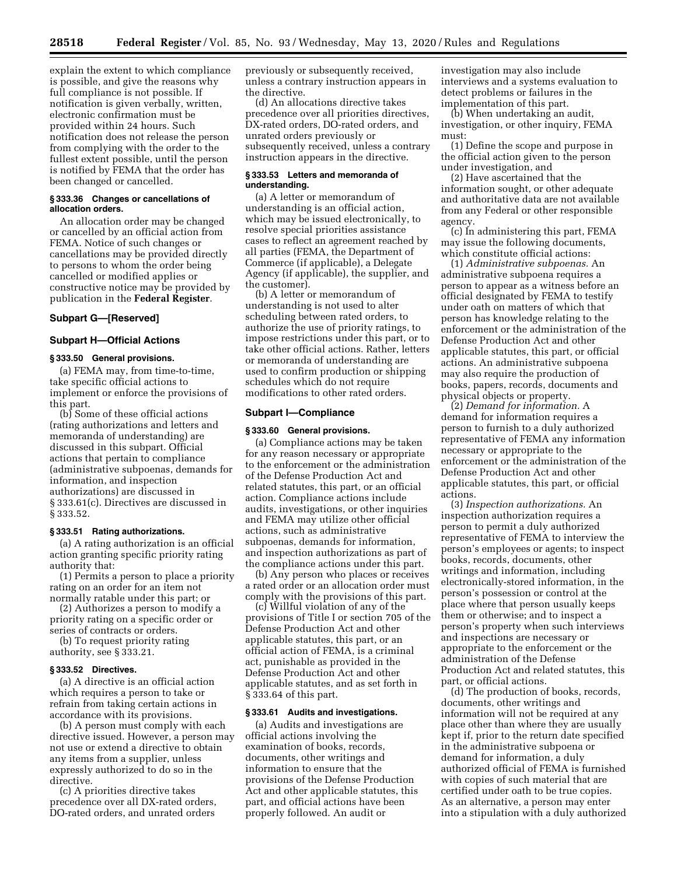explain the extent to which compliance is possible, and give the reasons why full compliance is not possible. If notification is given verbally, written, electronic confirmation must be provided within 24 hours. Such notification does not release the person from complying with the order to the fullest extent possible, until the person is notified by FEMA that the order has been changed or cancelled.

## **§ 333.36 Changes or cancellations of allocation orders.**

An allocation order may be changed or cancelled by an official action from FEMA. Notice of such changes or cancellations may be provided directly to persons to whom the order being cancelled or modified applies or constructive notice may be provided by publication in the **Federal Register**.

## **Subpart G—[Reserved]**

## **Subpart H—Official Actions**

## **§ 333.50 General provisions.**

(a) FEMA may, from time-to-time, take specific official actions to implement or enforce the provisions of this part.

(b) Some of these official actions (rating authorizations and letters and memoranda of understanding) are discussed in this subpart. Official actions that pertain to compliance (administrative subpoenas, demands for information, and inspection authorizations) are discussed in § 333.61(c). Directives are discussed in § 333.52.

### **§ 333.51 Rating authorizations.**

(a) A rating authorization is an official action granting specific priority rating authority that:

(1) Permits a person to place a priority rating on an order for an item not normally ratable under this part; or

(2) Authorizes a person to modify a priority rating on a specific order or series of contracts or orders.

(b) To request priority rating authority, see § 333.21.

### **§ 333.52 Directives.**

(a) A directive is an official action which requires a person to take or refrain from taking certain actions in accordance with its provisions.

(b) A person must comply with each directive issued. However, a person may not use or extend a directive to obtain any items from a supplier, unless expressly authorized to do so in the directive.

(c) A priorities directive takes precedence over all DX-rated orders, DO-rated orders, and unrated orders

previously or subsequently received, unless a contrary instruction appears in the directive.

(d) An allocations directive takes precedence over all priorities directives, DX-rated orders, DO-rated orders, and unrated orders previously or subsequently received, unless a contrary instruction appears in the directive.

### **§ 333.53 Letters and memoranda of understanding.**

(a) A letter or memorandum of understanding is an official action, which may be issued electronically, to resolve special priorities assistance cases to reflect an agreement reached by all parties (FEMA, the Department of Commerce (if applicable), a Delegate Agency (if applicable), the supplier, and the customer).

(b) A letter or memorandum of understanding is not used to alter scheduling between rated orders, to authorize the use of priority ratings, to impose restrictions under this part, or to take other official actions. Rather, letters or memoranda of understanding are used to confirm production or shipping schedules which do not require modifications to other rated orders.

## **Subpart I—Compliance**

## **§ 333.60 General provisions.**

(a) Compliance actions may be taken for any reason necessary or appropriate to the enforcement or the administration of the Defense Production Act and related statutes, this part, or an official action. Compliance actions include audits, investigations, or other inquiries and FEMA may utilize other official actions, such as administrative subpoenas, demands for information, and inspection authorizations as part of the compliance actions under this part.

(b) Any person who places or receives a rated order or an allocation order must comply with the provisions of this part.

(c) Willful violation of any of the provisions of Title I or section 705 of the Defense Production Act and other applicable statutes, this part, or an official action of FEMA, is a criminal act, punishable as provided in the Defense Production Act and other applicable statutes, and as set forth in § 333.64 of this part.

#### **§ 333.61 Audits and investigations.**

(a) Audits and investigations are official actions involving the examination of books, records, documents, other writings and information to ensure that the provisions of the Defense Production Act and other applicable statutes, this part, and official actions have been properly followed. An audit or

investigation may also include interviews and a systems evaluation to detect problems or failures in the implementation of this part.

(b) When undertaking an audit, investigation, or other inquiry, FEMA must:

(1) Define the scope and purpose in the official action given to the person under investigation, and

(2) Have ascertained that the information sought, or other adequate and authoritative data are not available from any Federal or other responsible agency.

(c) In administering this part, FEMA may issue the following documents, which constitute official actions:

(1) *Administrative subpoenas.* An administrative subpoena requires a person to appear as a witness before an official designated by FEMA to testify under oath on matters of which that person has knowledge relating to the enforcement or the administration of the Defense Production Act and other applicable statutes, this part, or official actions. An administrative subpoena may also require the production of books, papers, records, documents and physical objects or property.

(2) *Demand for information.* A demand for information requires a person to furnish to a duly authorized representative of FEMA any information necessary or appropriate to the enforcement or the administration of the Defense Production Act and other applicable statutes, this part, or official actions.

(3) *Inspection authorizations.* An inspection authorization requires a person to permit a duly authorized representative of FEMA to interview the person's employees or agents; to inspect books, records, documents, other writings and information, including electronically-stored information, in the person's possession or control at the place where that person usually keeps them or otherwise; and to inspect a person's property when such interviews and inspections are necessary or appropriate to the enforcement or the administration of the Defense Production Act and related statutes, this part, or official actions.

(d) The production of books, records, documents, other writings and information will not be required at any place other than where they are usually kept if, prior to the return date specified in the administrative subpoena or demand for information, a duly authorized official of FEMA is furnished with copies of such material that are certified under oath to be true copies. As an alternative, a person may enter into a stipulation with a duly authorized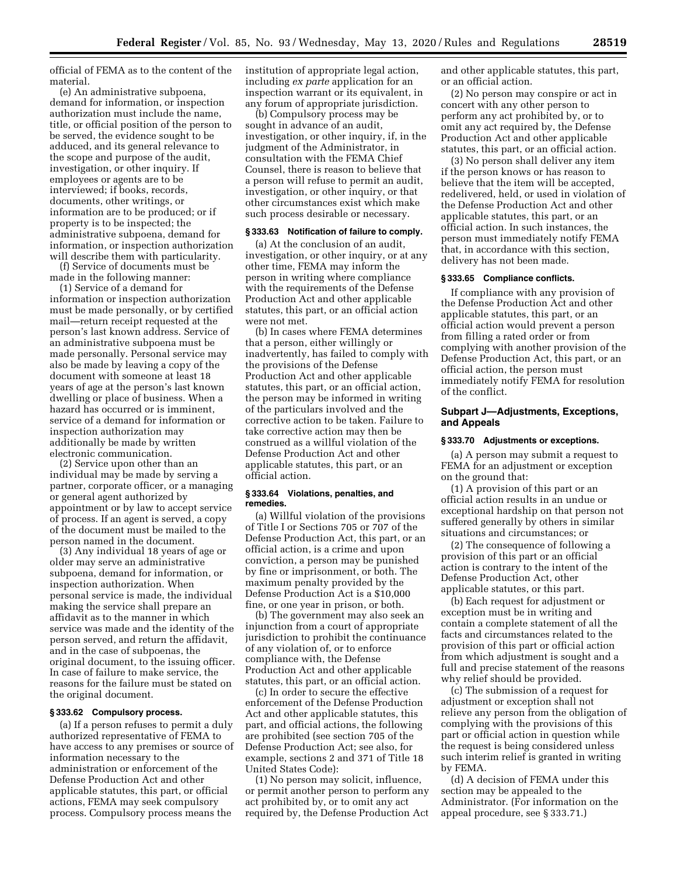official of FEMA as to the content of the material.

(e) An administrative subpoena, demand for information, or inspection authorization must include the name, title, or official position of the person to be served, the evidence sought to be adduced, and its general relevance to the scope and purpose of the audit, investigation, or other inquiry. If employees or agents are to be interviewed; if books, records, documents, other writings, or information are to be produced; or if property is to be inspected; the administrative subpoena, demand for information, or inspection authorization will describe them with particularity.

(f) Service of documents must be made in the following manner:

(1) Service of a demand for information or inspection authorization must be made personally, or by certified mail—return receipt requested at the person's last known address. Service of an administrative subpoena must be made personally. Personal service may also be made by leaving a copy of the document with someone at least 18 years of age at the person's last known dwelling or place of business. When a hazard has occurred or is imminent, service of a demand for information or inspection authorization may additionally be made by written electronic communication.

(2) Service upon other than an individual may be made by serving a partner, corporate officer, or a managing or general agent authorized by appointment or by law to accept service of process. If an agent is served, a copy of the document must be mailed to the person named in the document.

(3) Any individual 18 years of age or older may serve an administrative subpoena, demand for information, or inspection authorization. When personal service is made, the individual making the service shall prepare an affidavit as to the manner in which service was made and the identity of the person served, and return the affidavit, and in the case of subpoenas, the original document, to the issuing officer. In case of failure to make service, the reasons for the failure must be stated on the original document.

### **§ 333.62 Compulsory process.**

(a) If a person refuses to permit a duly authorized representative of FEMA to have access to any premises or source of information necessary to the administration or enforcement of the Defense Production Act and other applicable statutes, this part, or official actions, FEMA may seek compulsory process. Compulsory process means the

institution of appropriate legal action, including *ex parte* application for an inspection warrant or its equivalent, in any forum of appropriate jurisdiction.

(b) Compulsory process may be sought in advance of an audit, investigation, or other inquiry, if, in the judgment of the Administrator, in consultation with the FEMA Chief Counsel, there is reason to believe that a person will refuse to permit an audit, investigation, or other inquiry, or that other circumstances exist which make such process desirable or necessary.

### **§ 333.63 Notification of failure to comply.**

(a) At the conclusion of an audit, investigation, or other inquiry, or at any other time, FEMA may inform the person in writing where compliance with the requirements of the Defense Production Act and other applicable statutes, this part, or an official action were not met.

(b) In cases where FEMA determines that a person, either willingly or inadvertently, has failed to comply with the provisions of the Defense Production Act and other applicable statutes, this part, or an official action, the person may be informed in writing of the particulars involved and the corrective action to be taken. Failure to take corrective action may then be construed as a willful violation of the Defense Production Act and other applicable statutes, this part, or an official action.

## **§ 333.64 Violations, penalties, and remedies.**

(a) Willful violation of the provisions of Title I or Sections 705 or 707 of the Defense Production Act, this part, or an official action, is a crime and upon conviction, a person may be punished by fine or imprisonment, or both. The maximum penalty provided by the Defense Production Act is a \$10,000 fine, or one year in prison, or both.

(b) The government may also seek an injunction from a court of appropriate jurisdiction to prohibit the continuance of any violation of, or to enforce compliance with, the Defense Production Act and other applicable statutes, this part, or an official action.

(c) In order to secure the effective enforcement of the Defense Production Act and other applicable statutes, this part, and official actions, the following are prohibited (see section 705 of the Defense Production Act; see also, for example, sections 2 and 371 of Title 18 United States Code):

(1) No person may solicit, influence, or permit another person to perform any act prohibited by, or to omit any act required by, the Defense Production Act

and other applicable statutes, this part, or an official action.

(2) No person may conspire or act in concert with any other person to perform any act prohibited by, or to omit any act required by, the Defense Production Act and other applicable statutes, this part, or an official action.

(3) No person shall deliver any item if the person knows or has reason to believe that the item will be accepted, redelivered, held, or used in violation of the Defense Production Act and other applicable statutes, this part, or an official action. In such instances, the person must immediately notify FEMA that, in accordance with this section, delivery has not been made.

### **§ 333.65 Compliance conflicts.**

If compliance with any provision of the Defense Production Act and other applicable statutes, this part, or an official action would prevent a person from filling a rated order or from complying with another provision of the Defense Production Act, this part, or an official action, the person must immediately notify FEMA for resolution of the conflict.

## **Subpart J—Adjustments, Exceptions, and Appeals**

## **§ 333.70 Adjustments or exceptions.**

(a) A person may submit a request to FEMA for an adjustment or exception on the ground that:

(1) A provision of this part or an official action results in an undue or exceptional hardship on that person not suffered generally by others in similar situations and circumstances; or

(2) The consequence of following a provision of this part or an official action is contrary to the intent of the Defense Production Act, other applicable statutes, or this part.

(b) Each request for adjustment or exception must be in writing and contain a complete statement of all the facts and circumstances related to the provision of this part or official action from which adjustment is sought and a full and precise statement of the reasons why relief should be provided.

(c) The submission of a request for adjustment or exception shall not relieve any person from the obligation of complying with the provisions of this part or official action in question while the request is being considered unless such interim relief is granted in writing by FEMA.

(d) A decision of FEMA under this section may be appealed to the Administrator. (For information on the appeal procedure, see § 333.71.)